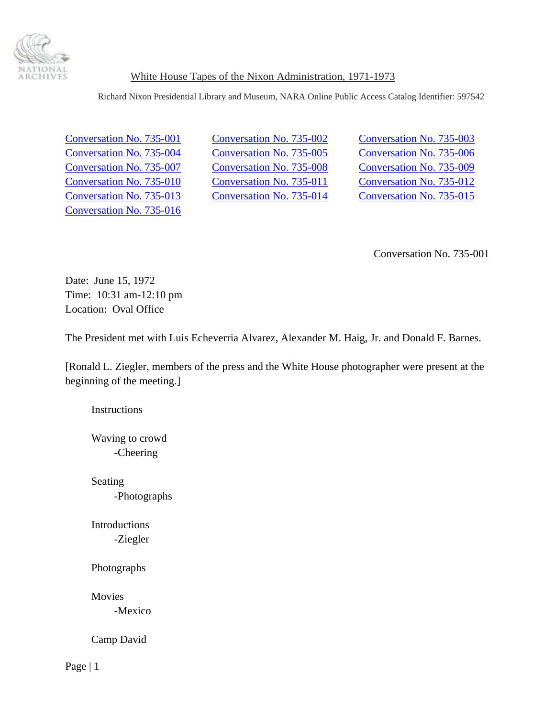

Richard Nixon Presidential Library and Museum, NARA Online Public Access Catalog Identifier: 597542

[Conversation No. 735-016](#page-36-0)

Conversation No. 735-001 [Conversation No. 735-002](#page-10-0) [Conversation No. 735-003](#page-11-0) [Conversation No. 735-004](#page-11-0) [Conversation No. 735-005](#page-15-0) [Conversation No. 735-006](#page-16-0) [Conversation No. 735-007](#page-16-0) [Conversation No. 735-008](#page-23-0) [Conversation No. 735-009](#page-24-0) [Conversation No. 735-010 Conversation No. 735-011](#page-24-0) [Conversation No. 735-012](#page-25-0) [Conversation No. 735-013](#page-25-0) [Conversation No. 735-014](#page-31-0) [Conversation No. 735-015](#page-35-0)

Conversation No. 735-001

Date: June 15, 1972 Time: 10:31 am-12:10 pm Location: Oval Office

The President met with Luis Echeverria Alvarez, Alexander M. Haig, Jr. and Donald F. Barnes.

[Ronald L. Ziegler, members of the press and the White House photographer were present at the beginning of the meeting.]

**Instructions** 

 Waving to crowd -Cheering

 Seating -Photographs

 Introductions -Ziegler

Photographs

Movies

-Mexico

Camp David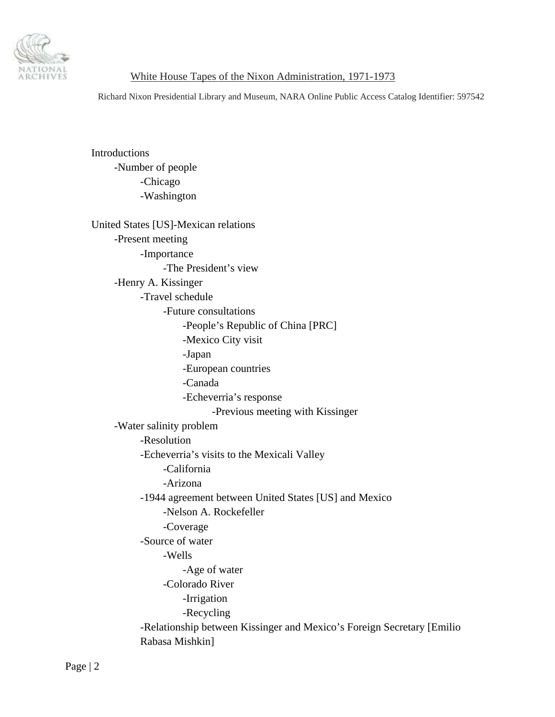

Richard Nixon Presidential Library and Museum, NARA Online Public Access Catalog Identifier: 597542

 Introductions -Number of people -Chicago -Washington

 United States [US]-Mexican relations -Present meeting -Importance -The President's view -Henry A. Kissinger -Travel schedule -Future consultations -People's Republic of China [PRC] -Mexico City visit -Japan -European countries -Canada -Echeverria's response -Previous meeting with Kissinger -Water salinity problem -Resolution -Echeverria's visits to the Mexicali Valley -California -Arizona -1944 agreement between United States [US] and Mexico -Nelson A. Rockefeller -Coverage -Source of water -Wells -Age of water -Colorado River -Irrigation -Recycling -Relationship between Kissinger and Mexico's Foreign Secretary [Emilio Rabasa Mishkin]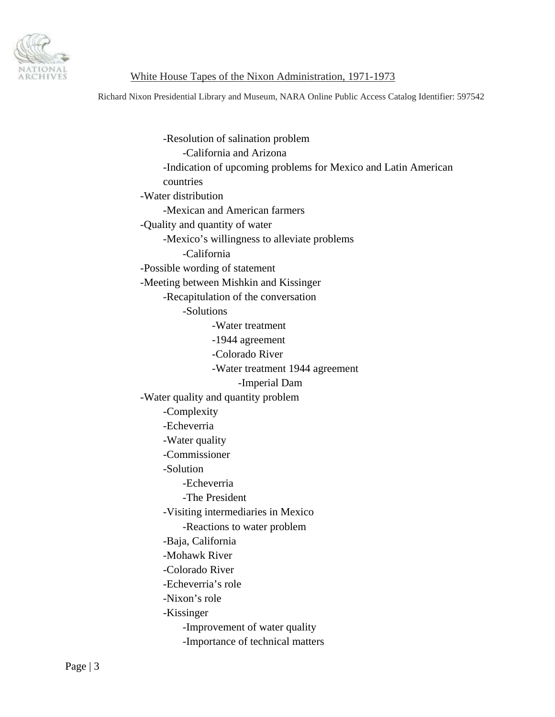

Richard Nixon Presidential Library and Museum, NARA Online Public Access Catalog Identifier: 597542

 -Resolution of salination problem -California and Arizona -Indication of upcoming problems for Mexico and Latin American countries -Water distribution -Mexican and American farmers -Quality and quantity of water -Mexico's willingness to alleviate problems -California -Possible wording of statement -Meeting between Mishkin and Kissinger -Recapitulation of the conversation -Solutions -Water treatment -1944 agreement -Colorado River -Water treatment 1944 agreement -Imperial Dam -Water quality and quantity problem -Complexity -Echeverria -Water quality -Commissioner -Solution -Echeverria -The President -Visiting intermediaries in Mexico -Reactions to water problem -Baja, California -Mohawk River -Colorado River -Echeverria's role -Nixon's role -Kissinger -Improvement of water quality -Importance of technical matters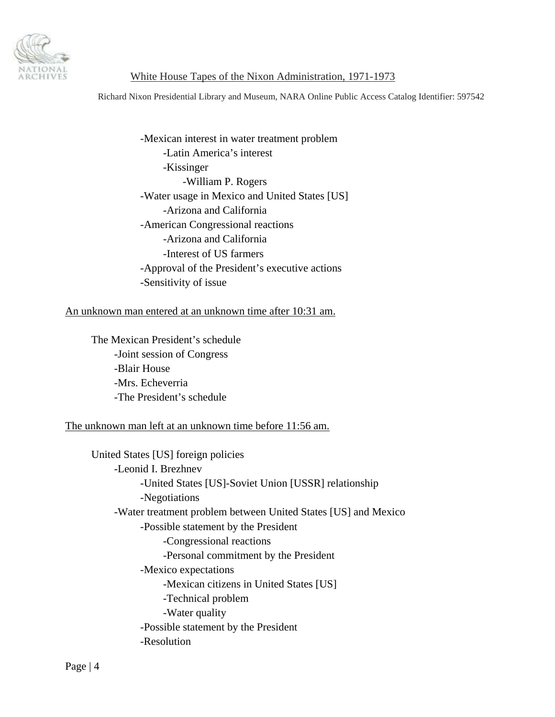

Richard Nixon Presidential Library and Museum, NARA Online Public Access Catalog Identifier: 597542

 -Mexican interest in water treatment problem -Latin America's interest -Kissinger -William P. Rogers -Water usage in Mexico and United States [US] -Arizona and California -American Congressional reactions -Arizona and California -Interest of US farmers -Approval of the President's executive actions -Sensitivity of issue

### An unknown man entered at an unknown time after 10:31 am.

 The Mexican President's schedule -Joint session of Congress -Blair House -Mrs. Echeverria -The President's schedule

### The unknown man left at an unknown time before 11:56 am.

 United States [US] foreign policies -Leonid I. Brezhnev -United States [US]-Soviet Union [USSR] relationship -Negotiations -Water treatment problem between United States [US] and Mexico -Possible statement by the President -Congressional reactions -Personal commitment by the President -Mexico expectations -Mexican citizens in United States [US] -Technical problem -Water quality -Possible statement by the President -Resolution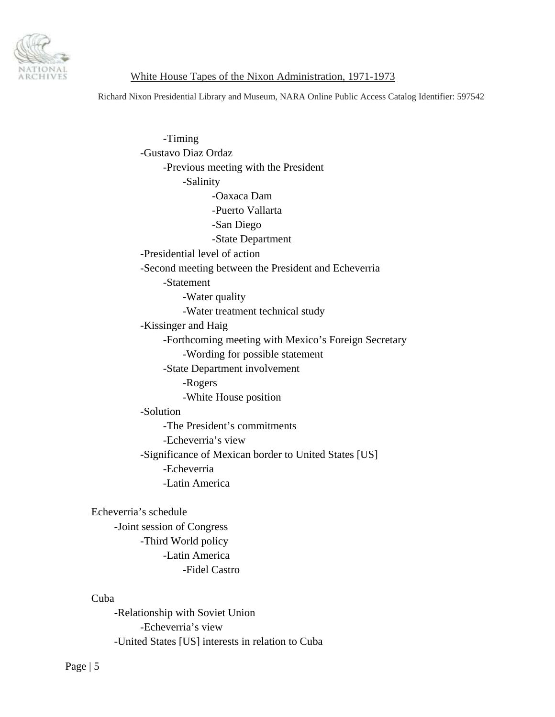

Richard Nixon Presidential Library and Museum, NARA Online Public Access Catalog Identifier: 597542

 -Timing -Gustavo Diaz Ordaz -Previous meeting with the President -Salinity -Oaxaca Dam -Puerto Vallarta -San Diego -State Department -Presidential level of action -Second meeting between the President and Echeverria -Statement -Water quality -Water treatment technical study -Kissinger and Haig -Forthcoming meeting with Mexico's Foreign Secretary -Wording for possible statement -State Department involvement -Rogers -White House position -Solution -The President's commitments -Echeverria's view -Significance of Mexican border to United States [US] -Echeverria -Latin America Echeverria's schedule

 -Joint session of Congress -Third World policy -Latin America -Fidel Castro

### Cuba

 -Relationship with Soviet Union -Echeverria's view -United States [US] interests in relation to Cuba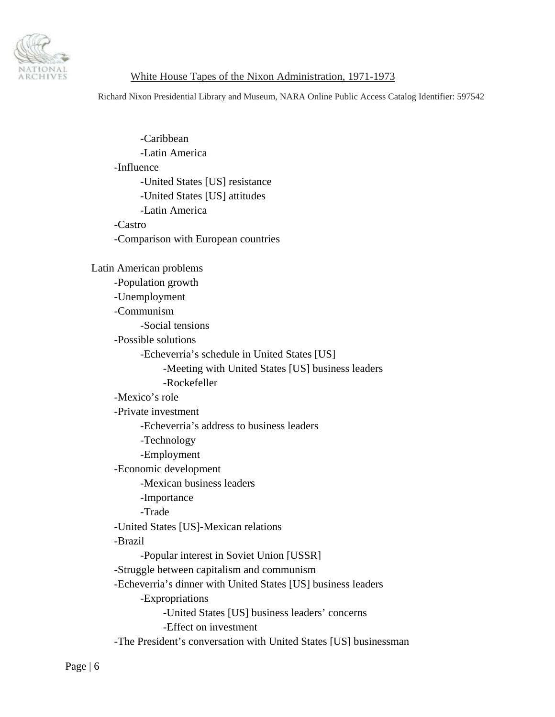

Richard Nixon Presidential Library and Museum, NARA Online Public Access Catalog Identifier: 597542

 -Caribbean -Latin America -Influence -United States [US] resistance -United States [US] attitudes -Latin America -Castro -Comparison with European countries Latin American problems -Population growth -Unemployment -Communism -Social tensions -Possible solutions -Echeverria's schedule in United States [US] -Meeting with United States [US] business leaders -Rockefeller -Mexico's role -Private investment -Echeverria's address to business leaders -Technology -Employment -Economic development -Mexican business leaders -Importance -Trade -United States [US]-Mexican relations -Brazil -Popular interest in Soviet Union [USSR] -Struggle between capitalism and communism -Echeverria's dinner with United States [US] business leaders -Expropriations -United States [US] business leaders' concerns -Effect on investment -The President's conversation with United States [US] businessman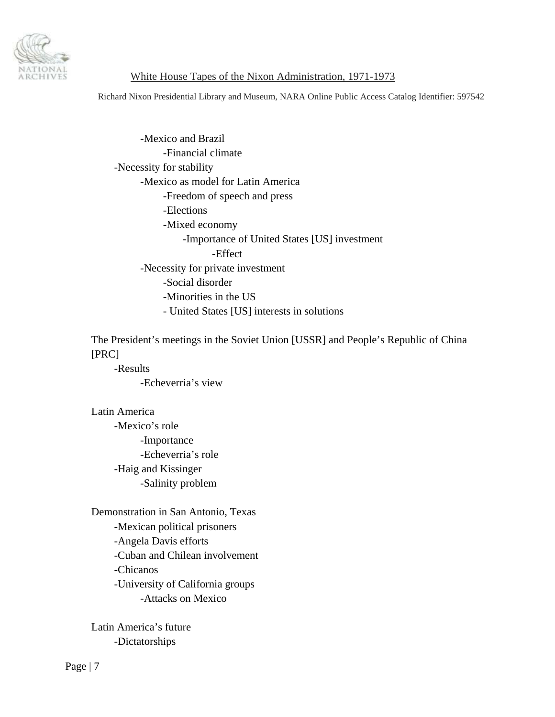

Richard Nixon Presidential Library and Museum, NARA Online Public Access Catalog Identifier: 597542

 -Mexico and Brazil -Financial climate -Necessity for stability -Mexico as model for Latin America -Freedom of speech and press -Elections -Mixed economy -Importance of United States [US] investment -Effect -Necessity for private investment -Social disorder -Minorities in the US - United States [US] interests in solutions

 The President's meetings in the Soviet Union [USSR] and People's Republic of China [PRC]

 -Results -Echeverria's view

 Latin America -Mexico's role -Importance -Echeverria's role -Haig and Kissinger -Salinity problem

 Demonstration in San Antonio, Texas -Mexican political prisoners -Angela Davis efforts -Cuban and Chilean involvement -Chicanos -University of California groups -Attacks on Mexico

 Latin America's future -Dictatorships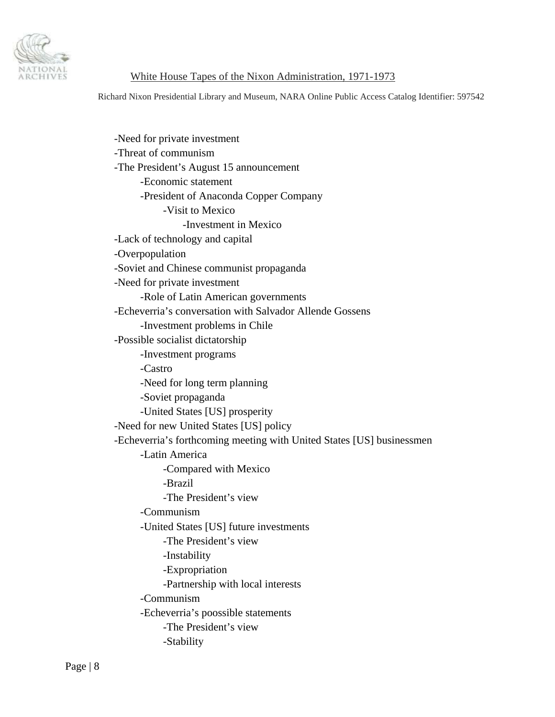

Richard Nixon Presidential Library and Museum, NARA Online Public Access Catalog Identifier: 597542

 -Need for private investment -Threat of communism -The President's August 15 announcement -Economic statement -President of Anaconda Copper Company -Visit to Mexico -Investment in Mexico -Lack of technology and capital -Overpopulation -Soviet and Chinese communist propaganda -Need for private investment -Role of Latin American governments -Echeverria's conversation with Salvador Allende Gossens -Investment problems in Chile -Possible socialist dictatorship -Investment programs -Castro -Need for long term planning -Soviet propaganda -United States [US] prosperity -Need for new United States [US] policy -Echeverria's forthcoming meeting with United States [US] businessmen -Latin America -Compared with Mexico -Brazil -The President's view -Communism -United States [US] future investments -The President's view -Instability -Expropriation -Partnership with local interests -Communism -Echeverria's poossible statements -The President's view -Stability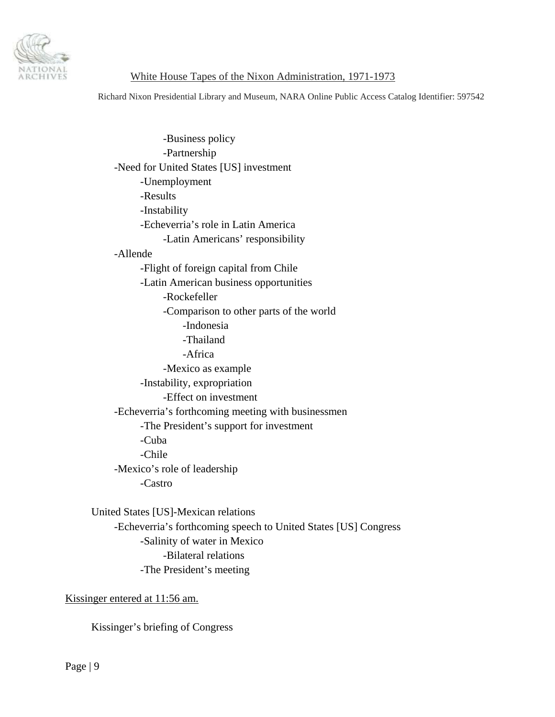

Richard Nixon Presidential Library and Museum, NARA Online Public Access Catalog Identifier: 597542

 -Business policy -Partnership -Need for United States [US] investment -Unemployment -Results -Instability -Echeverria's role in Latin America -Latin Americans' responsibility -Allende -Flight of foreign capital from Chile -Latin American business opportunities -Rockefeller -Comparison to other parts of the world -Indonesia -Thailand -Africa -Mexico as example -Instability, expropriation -Effect on investment -Echeverria's forthcoming meeting with businessmen -The President's support for investment -Cuba -Chile -Mexico's role of leadership -Castro

 United States [US]-Mexican relations -Echeverria's forthcoming speech to United States [US] Congress -Salinity of water in Mexico -Bilateral relations -The President's meeting

Kissinger entered at 11:56 am.

Kissinger's briefing of Congress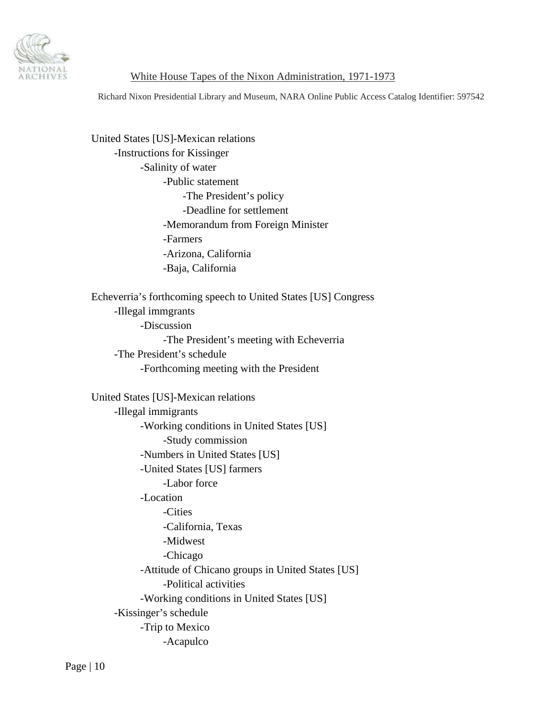

Richard Nixon Presidential Library and Museum, NARA Online Public Access Catalog Identifier: 597542

 United States [US]-Mexican relations -Instructions for Kissinger -Salinity of water -Public statement -The President's policy -Deadline for settlement -Memorandum from Foreign Minister -Farmers -Arizona, California -Baja, California Echeverria's forthcoming speech to United States [US] Congress -Illegal immgrants -Discussion -The President's meeting with Echeverria -The President's schedule -Forthcoming meeting with the President United States [US]-Mexican relations -Illegal immigrants -Working conditions in United States [US] -Study commission -Numbers in United States [US] -United States [US] farmers -Labor force -Location -Cities -California, Texas -Midwest -Chicago -Attitude of Chicano groups in United States [US] -Political activities -Working conditions in United States [US] -Kissinger's schedule -Trip to Mexico -Acapulco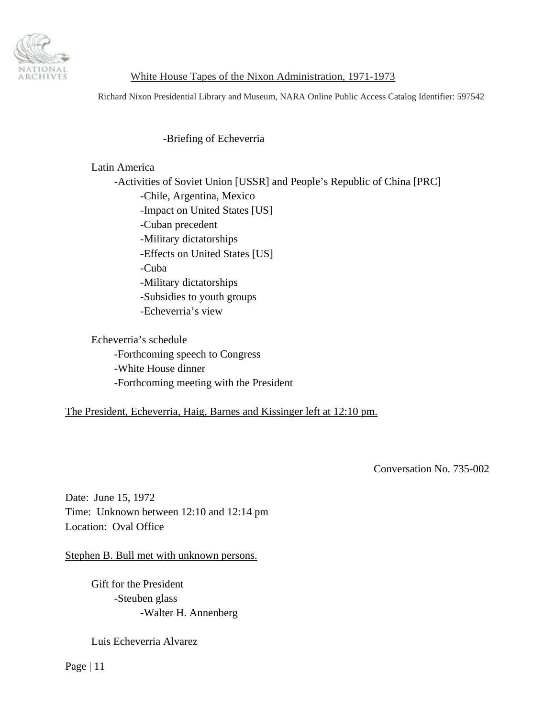<span id="page-10-0"></span>

Richard Nixon Presidential Library and Museum, NARA Online Public Access Catalog Identifier: 597542

# -Briefing of Echeverria

# Latin America

 -Activities of Soviet Union [USSR] and People's Republic of China [PRC] -Chile, Argentina, Mexico -Impact on United States [US] -Cuban precedent -Military dictatorships -Effects on United States [US] -Cuba -Military dictatorships -Subsidies to youth groups -Echeverria's view

 Echeverria's schedule -Forthcoming speech to Congress -White House dinner -Forthcoming meeting with the President

### The President, Echeverria, Haig, Barnes and Kissinger left at 12:10 pm.

Conversation No. 735-002

Date: June 15, 1972 Time: Unknown between 12:10 and 12:14 pm Location: Oval Office

Stephen B. Bull met with unknown persons.

 Gift for the President -Steuben glass -Walter H. Annenberg

Luis Echeverria Alvarez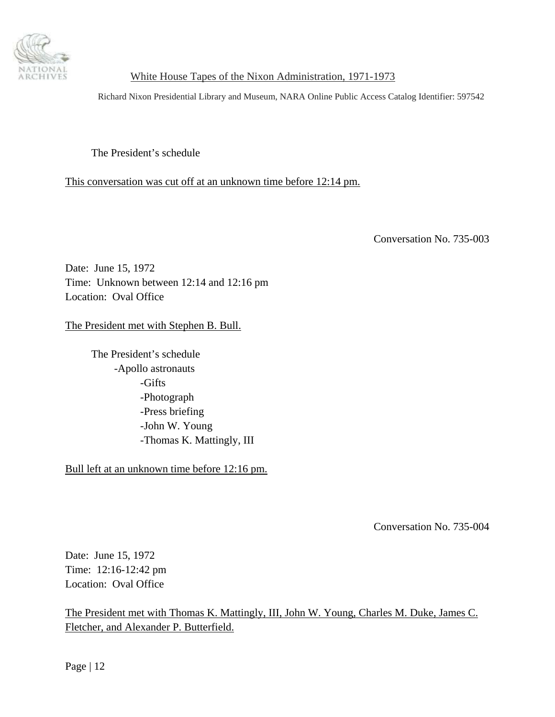<span id="page-11-0"></span>

Richard Nixon Presidential Library and Museum, NARA Online Public Access Catalog Identifier: 597542

The President's schedule

This conversation was cut off at an unknown time before 12:14 pm.

Conversation No. 735-003

Date: June 15, 1972 Time: Unknown between 12:14 and 12:16 pm Location: Oval Office

The President met with Stephen B. Bull.

 The President's schedule -Apollo astronauts -Gifts -Photograph -Press briefing -John W. Young -Thomas K. Mattingly, III

Bull left at an unknown time before 12:16 pm.

Conversation No. 735-004

Date: June 15, 1972 Time: 12:16-12:42 pm Location: Oval Office

The President met with Thomas K. Mattingly, III, John W. Young, Charles M. Duke, James C. Fletcher, and Alexander P. Butterfield.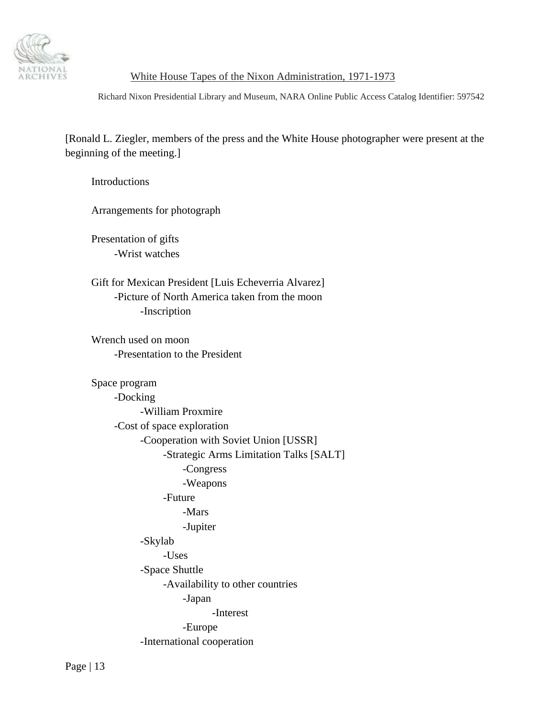

Richard Nixon Presidential Library and Museum, NARA Online Public Access Catalog Identifier: 597542

[Ronald L. Ziegler, members of the press and the White House photographer were present at the beginning of the meeting.]

**Introductions** 

Arrangements for photograph

 Presentation of gifts -Wrist watches

 Gift for Mexican President [Luis Echeverria Alvarez] -Picture of North America taken from the moon -Inscription

 Wrench used on moon -Presentation to the President

# Space program -Docking -William Proxmire -Cost of space exploration -Cooperation with Soviet Union [USSR] -Strategic Arms Limitation Talks [SALT] -Congress -Weapons -Future -Mars -Jupiter -Skylab -Uses -Space Shuttle -Availability to other countries -Japan -Interest -Europe -International cooperation

Page | 13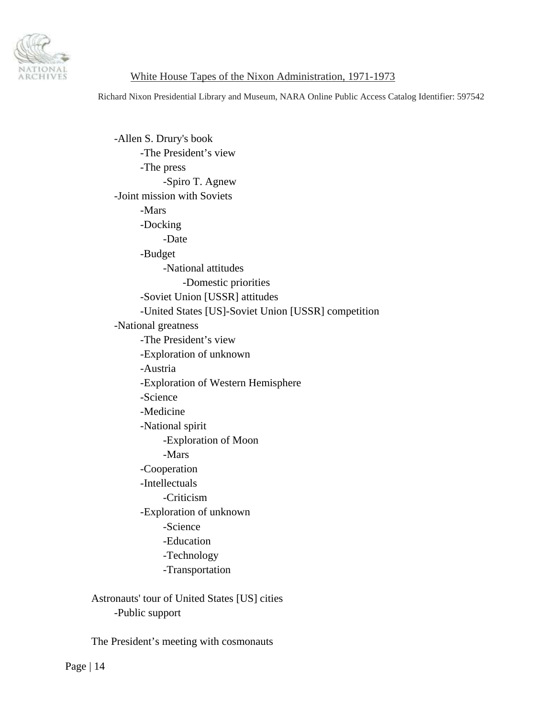

Richard Nixon Presidential Library and Museum, NARA Online Public Access Catalog Identifier: 597542

 -Allen S. Drury's book -The President's view -The press -Spiro T. Agnew -Joint mission with Soviets -Mars -Docking -Date -Budget -National attitudes -Domestic priorities -Soviet Union [USSR] attitudes -United States [US]-Soviet Union [USSR] competition -National greatness -The President's view -Exploration of unknown -Austria -Exploration of Western Hemisphere -Science -Medicine -National spirit -Exploration of Moon -Mars -Cooperation -Intellectuals -Criticism -Exploration of unknown -Science -Education -Technology -Transportation Astronauts' tour of United States [US] cities

-Public support

The President's meeting with cosmonauts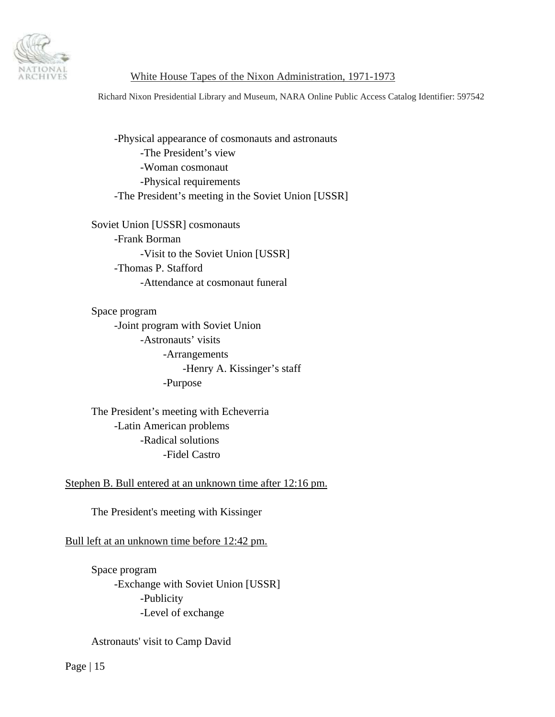

Richard Nixon Presidential Library and Museum, NARA Online Public Access Catalog Identifier: 597542

 -Physical appearance of cosmonauts and astronauts -The President's view -Woman cosmonaut -Physical requirements -The President's meeting in the Soviet Union [USSR]

 Soviet Union [USSR] cosmonauts -Frank Borman -Visit to the Soviet Union [USSR] -Thomas P. Stafford -Attendance at cosmonaut funeral

 Space program -Joint program with Soviet Union -Astronauts' visits -Arrangements -Henry A. Kissinger's staff -Purpose

 The President's meeting with Echeverria -Latin American problems -Radical solutions -Fidel Castro

# Stephen B. Bull entered at an unknown time after 12:16 pm.

The President's meeting with Kissinger

# Bull left at an unknown time before 12:42 pm.

 Space program -Exchange with Soviet Union [USSR] -Publicity -Level of exchange

### Astronauts' visit to Camp David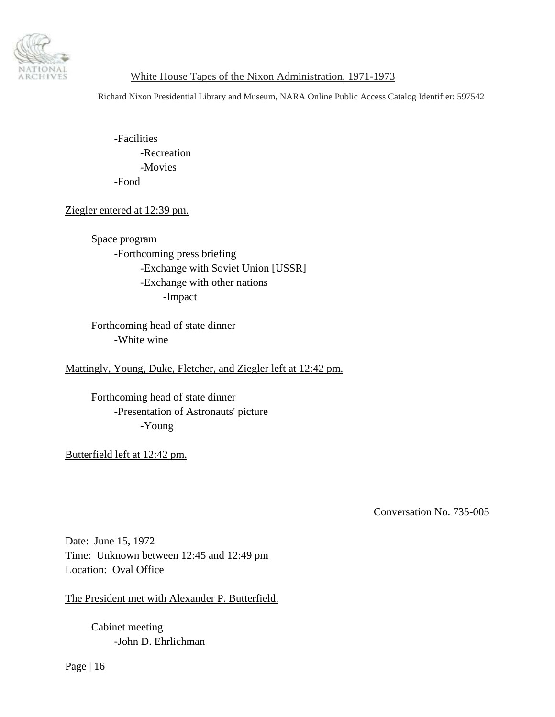<span id="page-15-0"></span>

Richard Nixon Presidential Library and Museum, NARA Online Public Access Catalog Identifier: 597542

 -Facilities -Recreation -Movies -Food

# Ziegler entered at 12:39 pm.

 Space program -Forthcoming press briefing -Exchange with Soviet Union [USSR] -Exchange with other nations -Impact

 Forthcoming head of state dinner -White wine

Mattingly, Young, Duke, Fletcher, and Ziegler left at 12:42 pm.

 Forthcoming head of state dinner -Presentation of Astronauts' picture -Young

Butterfield left at 12:42 pm.

Conversation No. 735-005

Date: June 15, 1972 Time: Unknown between 12:45 and 12:49 pm Location: Oval Office

The President met with Alexander P. Butterfield.

 Cabinet meeting -John D. Ehrlichman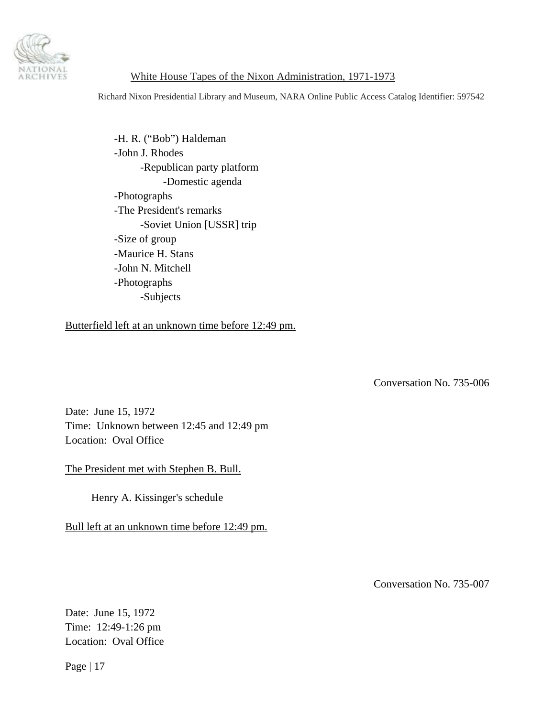<span id="page-16-0"></span>

Richard Nixon Presidential Library and Museum, NARA Online Public Access Catalog Identifier: 597542

 -H. R. ("Bob") Haldeman -John J. Rhodes -Republican party platform -Domestic agenda -Photographs -The President's remarks -Soviet Union [USSR] trip -Size of group -Maurice H. Stans -John N. Mitchell -Photographs -Subjects

Butterfield left at an unknown time before 12:49 pm.

Conversation No. 735-006

Date: June 15, 1972 Time: Unknown between 12:45 and 12:49 pm Location: Oval Office

The President met with Stephen B. Bull.

Henry A. Kissinger's schedule

Bull left at an unknown time before 12:49 pm.

Conversation No. 735-007

Date: June 15, 1972 Time: 12:49-1:26 pm Location: Oval Office

Page | 17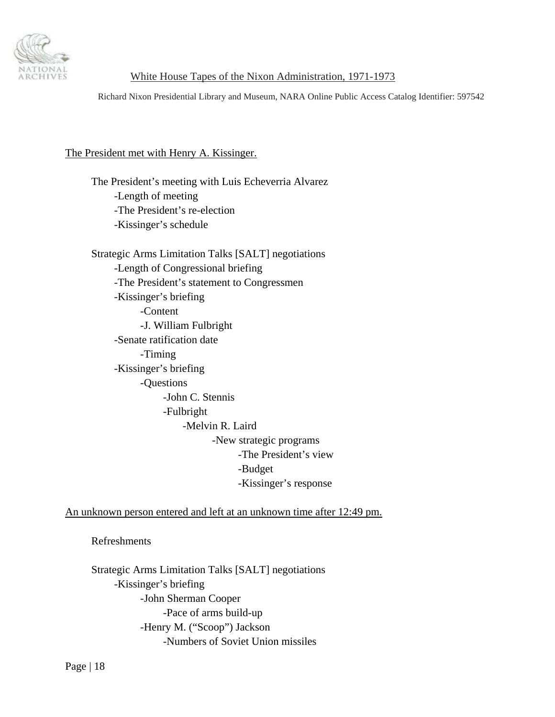

Richard Nixon Presidential Library and Museum, NARA Online Public Access Catalog Identifier: 597542

# The President met with Henry A. Kissinger.

 The President's meeting with Luis Echeverria Alvarez -Length of meeting -The President's re-election -Kissinger's schedule

 Strategic Arms Limitation Talks [SALT] negotiations -Length of Congressional briefing -The President's statement to Congressmen -Kissinger's briefing -Content -J. William Fulbright -Senate ratification date -Timing -Kissinger's briefing -Questions -John C. Stennis -Fulbright -Melvin R. Laird -New strategic programs -The President's view -Budget -Kissinger's response

An unknown person entered and left at an unknown time after 12:49 pm.

Refreshments

 Strategic Arms Limitation Talks [SALT] negotiations -Kissinger's briefing -John Sherman Cooper -Pace of arms build-up -Henry M. ("Scoop") Jackson -Numbers of Soviet Union missiles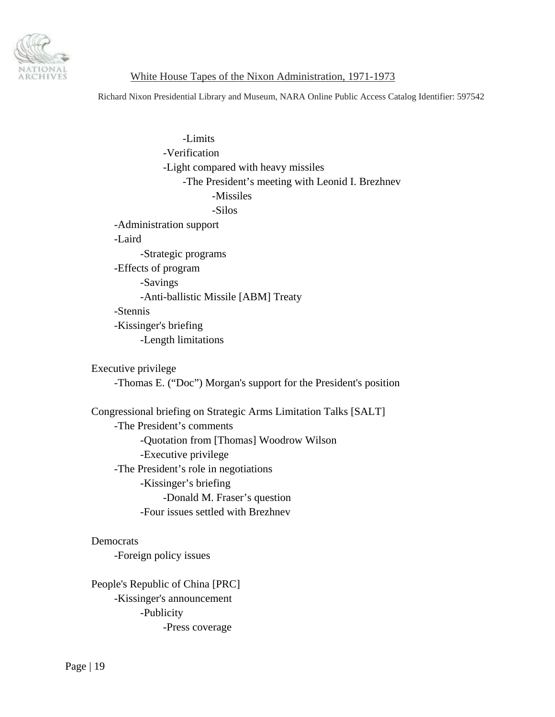

Richard Nixon Presidential Library and Museum, NARA Online Public Access Catalog Identifier: 597542

 -Limits -Verification -Light compared with heavy missiles -The President's meeting with Leonid I. Brezhnev -Missiles -Silos -Administration support -Laird -Strategic programs -Effects of program -Savings -Anti-ballistic Missile [ABM] Treaty -Stennis -Kissinger's briefing -Length limitations

Executive privilege

-Thomas E. ("Doc") Morgan's support for the President's position

 Congressional briefing on Strategic Arms Limitation Talks [SALT] -The President's comments -Quotation from [Thomas] Woodrow Wilson -Executive privilege -The President's role in negotiations -Kissinger's briefing -Donald M. Fraser's question -Four issues settled with Brezhnev

Democrats

-Foreign policy issues

 People's Republic of China [PRC] -Kissinger's announcement -Publicity -Press coverage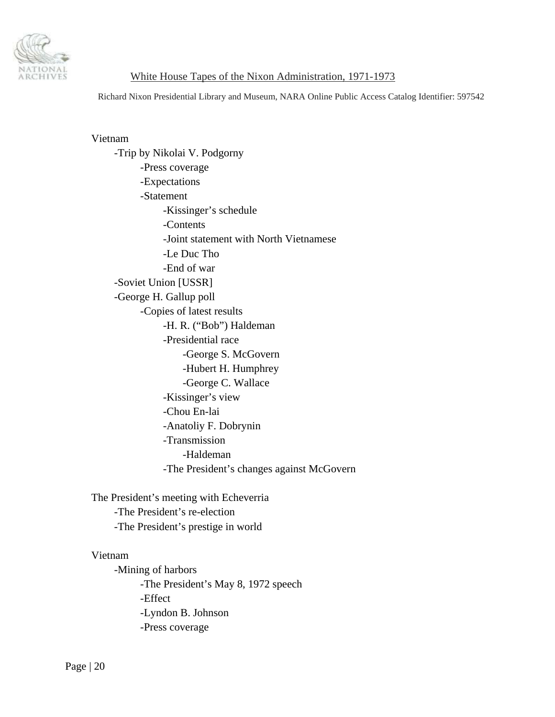

Richard Nixon Presidential Library and Museum, NARA Online Public Access Catalog Identifier: 597542

#### Vietnam

 -Trip by Nikolai V. Podgorny -Press coverage -Expectations -Statement -Kissinger's schedule -Contents -Joint statement with North Vietnamese -Le Duc Tho -End of war -Soviet Union [USSR] -George H. Gallup poll -Copies of latest results -H. R. ("Bob") Haldeman -Presidential race -George S. McGovern -Hubert H. Humphrey -George C. Wallace -Kissinger's view -Chou En-lai -Anatoliy F. Dobrynin -Transmission -Haldeman -The President's changes against McGovern

 The President's meeting with Echeverria -The President's re-election -The President's prestige in world

#### Vietnam

 -Mining of harbors -The President's May 8, 1972 speech -Effect -Lyndon B. Johnson -Press coverage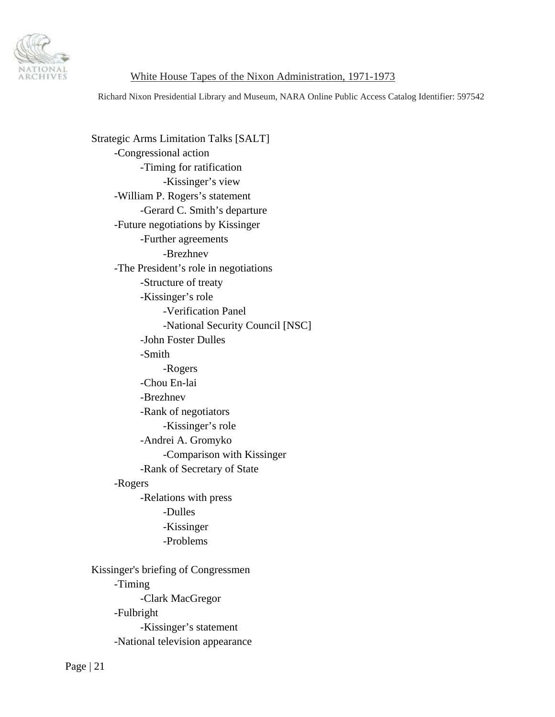

Richard Nixon Presidential Library and Museum, NARA Online Public Access Catalog Identifier: 597542

 Strategic Arms Limitation Talks [SALT] -Congressional action -Timing for ratification -Kissinger's view -William P. Rogers's statement -Gerard C. Smith's departure -Future negotiations by Kissinger -Further agreements -Brezhnev -The President's role in negotiations -Structure of treaty -Kissinger's role -Verification Panel -National Security Council [NSC] -John Foster Dulles -Smith -Rogers -Chou En-lai -Brezhnev -Rank of negotiators -Kissinger's role -Andrei A. Gromyko -Comparison with Kissinger -Rank of Secretary of State -Rogers -Relations with press -Dulles -Kissinger -Problems Kissinger's briefing of Congressmen -Timing -Clark MacGregor -Fulbright -Kissinger's statement -National television appearance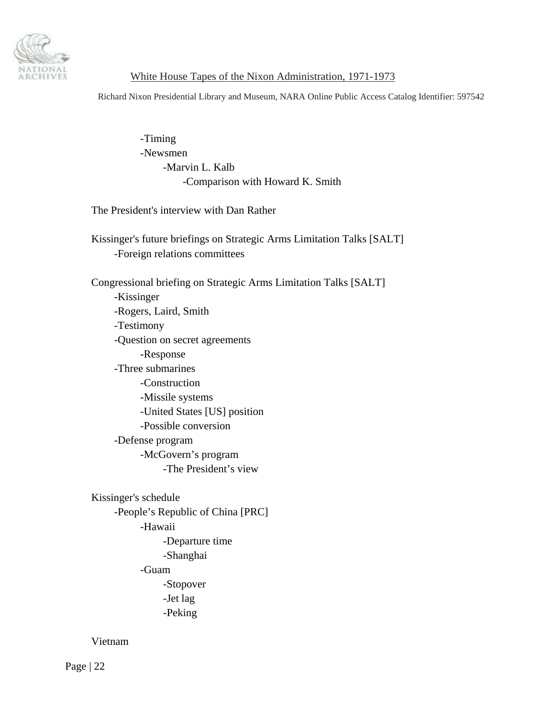

Richard Nixon Presidential Library and Museum, NARA Online Public Access Catalog Identifier: 597542

 -Timing -Newsmen -Marvin L. Kalb -Comparison with Howard K. Smith

The President's interview with Dan Rather

 Kissinger's future briefings on Strategic Arms Limitation Talks [SALT] -Foreign relations committees

 Congressional briefing on Strategic Arms Limitation Talks [SALT] -Kissinger -Rogers, Laird, Smith -Testimony -Question on secret agreements -Response -Three submarines -Construction -Missile systems -United States [US] position -Possible conversion -Defense program -McGovern's program -The President's view

 Kissinger's schedule -People's Republic of China [PRC] -Hawaii -Departure time -Shanghai -Guam -Stopover -Jet lag -Peking

Vietnam

Page | 22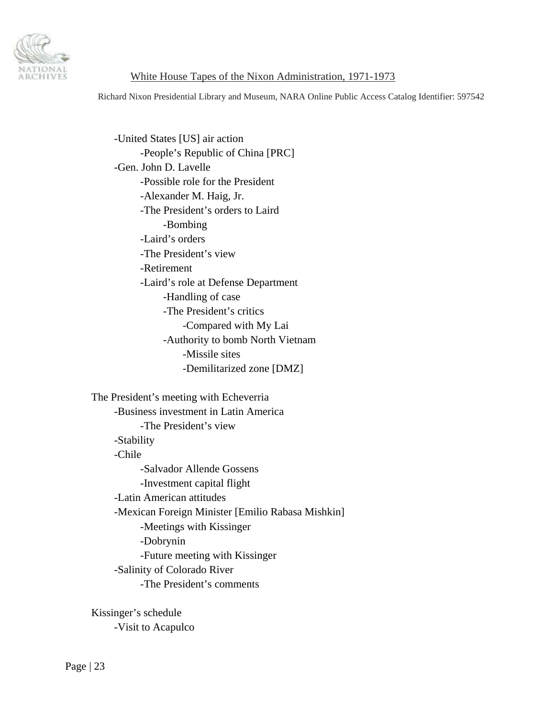

Richard Nixon Presidential Library and Museum, NARA Online Public Access Catalog Identifier: 597542

 -United States [US] air action -People's Republic of China [PRC] -Gen. John D. Lavelle -Possible role for the President -Alexander M. Haig, Jr. -The President's orders to Laird -Bombing -Laird's orders -The President's view -Retirement -Laird's role at Defense Department -Handling of case -The President's critics -Compared with My Lai -Authority to bomb North Vietnam -Missile sites -Demilitarized zone [DMZ]

The President's meeting with Echeverria

 -Business investment in Latin America -The President's view -Stability -Chile -Salvador Allende Gossens -Investment capital flight -Latin American attitudes -Mexican Foreign Minister [Emilio Rabasa Mishkin] -Meetings with Kissinger -Dobrynin -Future meeting with Kissinger -Salinity of Colorado River -The President's comments

 Kissinger's schedule -Visit to Acapulco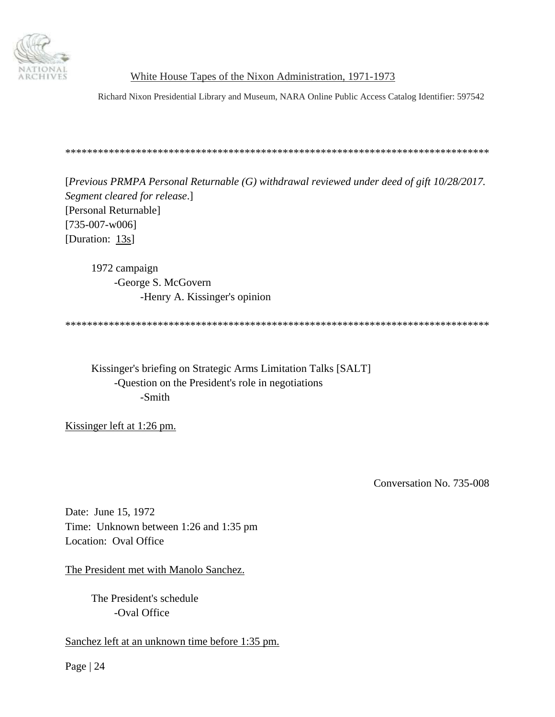<span id="page-23-0"></span>

Richard Nixon Presidential Library and Museum, NARA Online Public Access Catalog Identifier: 597542

\*\*\*\*\*\*\*\*\*\*\*\*\*\*\*\*\*\*\*\*\*\*\*\*\*\*\*\*\*\*\*\*\*\*\*\*\*\*\*\*\*\*\*\*\*\*\*\*\*\*\*\*\*\*\*\*\*\*\*\*\*\*\*\*\*\*\*\*\*\*\*\*\*\*\*\*\*\*

[*Previous PRMPA Personal Returnable (G) withdrawal reviewed under deed of gift 10/28/2017. Segment cleared for release*.] [Personal Returnable] [735-007-w006] [Duration: 13s]

 1972 campaign -George S. McGovern -Henry A. Kissinger's opinion

\*\*\*\*\*\*\*\*\*\*\*\*\*\*\*\*\*\*\*\*\*\*\*\*\*\*\*\*\*\*\*\*\*\*\*\*\*\*\*\*\*\*\*\*\*\*\*\*\*\*\*\*\*\*\*\*\*\*\*\*\*\*\*\*\*\*\*\*\*\*\*\*\*\*\*\*\*\*

 Kissinger's briefing on Strategic Arms Limitation Talks [SALT] -Question on the President's role in negotiations -Smith

Kissinger left at 1:26 pm.

Conversation No. 735-008

Date: June 15, 1972 Time: Unknown between 1:26 and 1:35 pm Location: Oval Office

The President met with Manolo Sanchez.

 The President's schedule -Oval Office

Sanchez left at an unknown time before 1:35 pm.

Page | 24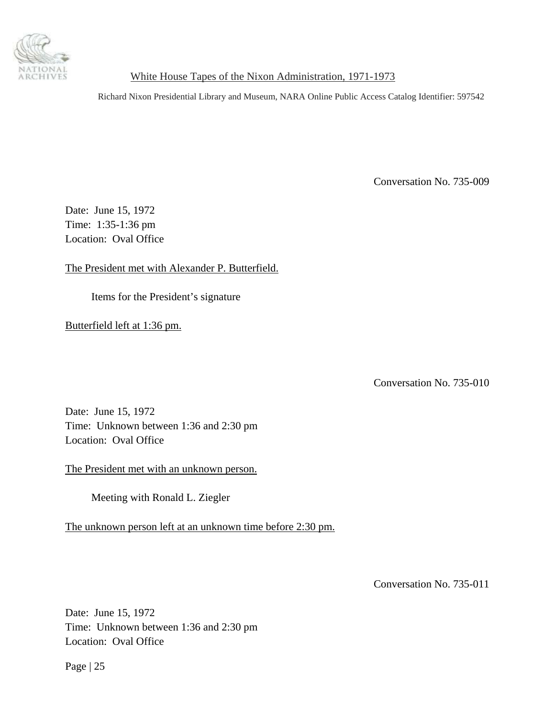<span id="page-24-0"></span>

Richard Nixon Presidential Library and Museum, NARA Online Public Access Catalog Identifier: 597542

Conversation No. 735-009

Date: June 15, 1972 Time: 1:35-1:36 pm Location: Oval Office

The President met with Alexander P. Butterfield.

Items for the President's signature

Butterfield left at 1:36 pm.

Conversation No. 735-010

Date: June 15, 1972 Time: Unknown between 1:36 and 2:30 pm Location: Oval Office

The President met with an unknown person.

Meeting with Ronald L. Ziegler

The unknown person left at an unknown time before 2:30 pm.

Conversation No. 735-011

Date: June 15, 1972 Time: Unknown between 1:36 and 2:30 pm Location: Oval Office

Page | 25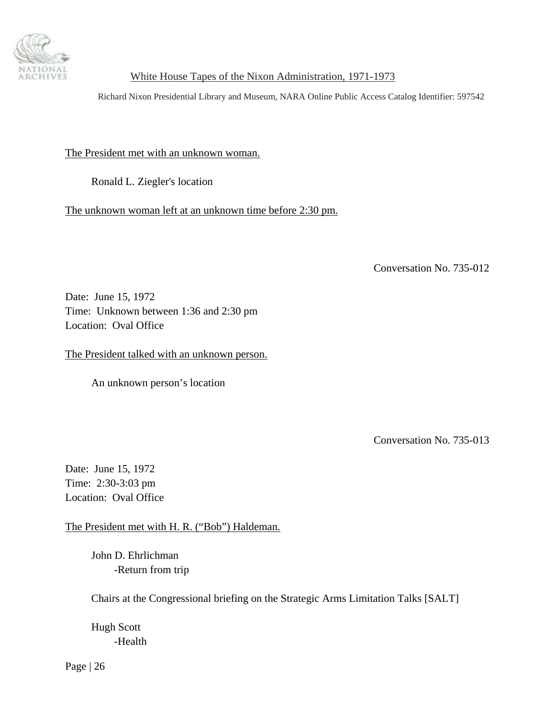<span id="page-25-0"></span>

Richard Nixon Presidential Library and Museum, NARA Online Public Access Catalog Identifier: 597542

The President met with an unknown woman.

Ronald L. Ziegler's location

The unknown woman left at an unknown time before 2:30 pm.

Conversation No. 735-012

Date: June 15, 1972 Time: Unknown between 1:36 and 2:30 pm Location: Oval Office

The President talked with an unknown person.

An unknown person's location

Conversation No. 735-013

Date: June 15, 1972 Time: 2:30-3:03 pm Location: Oval Office

The President met with H. R. ("Bob") Haldeman.

 John D. Ehrlichman -Return from trip

Chairs at the Congressional briefing on the Strategic Arms Limitation Talks [SALT]

 Hugh Scott -Health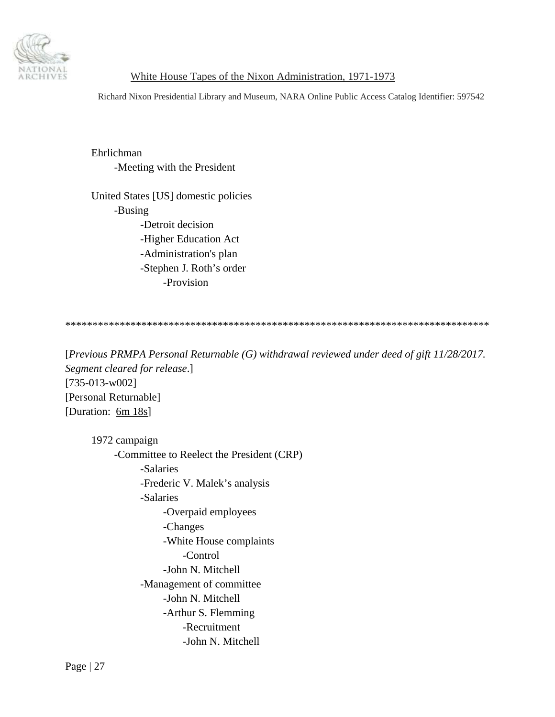

Richard Nixon Presidential Library and Museum, NARA Online Public Access Catalog Identifier: 597542

 Ehrlichman -Meeting with the President

 United States [US] domestic policies -Busing -Detroit decision -Higher Education Act -Administration's plan -Stephen J. Roth's order -Provision

\*\*\*\*\*\*\*\*\*\*\*\*\*\*\*\*\*\*\*\*\*\*\*\*\*\*\*\*\*\*\*\*\*\*\*\*\*\*\*\*\*\*\*\*\*\*\*\*\*\*\*\*\*\*\*\*\*\*\*\*\*\*\*\*\*\*\*\*\*\*\*\*\*\*\*\*\*\*

[*Previous PRMPA Personal Returnable (G) withdrawal reviewed under deed of gift 11/28/2017. Segment cleared for release*.] [735-013-w002] [Personal Returnable] [Duration: 6m 18s]

 1972 campaign -Committee to Reelect the President (CRP) -Salaries -Frederic V. Malek's analysis -Salaries -Overpaid employees -Changes -White House complaints -Control -John N. Mitchell -Management of committee -John N. Mitchell -Arthur S. Flemming -Recruitment -John N. Mitchell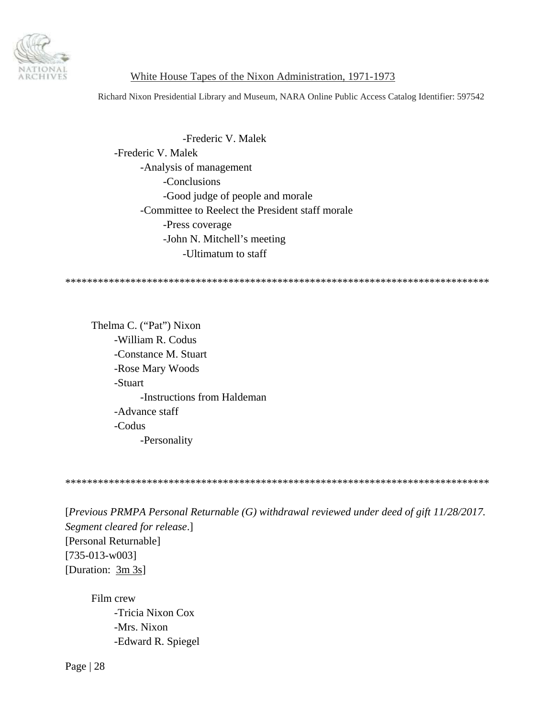

Richard Nixon Presidential Library and Museum, NARA Online Public Access Catalog Identifier: 597542

 -Frederic V. Malek -Frederic V. Malek -Analysis of management -Conclusions -Good judge of people and morale -Committee to Reelect the President staff morale -Press coverage -John N. Mitchell's meeting -Ultimatum to staff

\*\*\*\*\*\*\*\*\*\*\*\*\*\*\*\*\*\*\*\*\*\*\*\*\*\*\*\*\*\*\*\*\*\*\*\*\*\*\*\*\*\*\*\*\*\*\*\*\*\*\*\*\*\*\*\*\*\*\*\*\*\*\*\*\*\*\*\*\*\*\*\*\*\*\*\*\*\*

 Thelma C. ("Pat") Nixon -William R. Codus -Constance M. Stuart -Rose Mary Woods -Stuart -Instructions from Haldeman -Advance staff -Codus -Personality

\*\*\*\*\*\*\*\*\*\*\*\*\*\*\*\*\*\*\*\*\*\*\*\*\*\*\*\*\*\*\*\*\*\*\*\*\*\*\*\*\*\*\*\*\*\*\*\*\*\*\*\*\*\*\*\*\*\*\*\*\*\*\*\*\*\*\*\*\*\*\*\*\*\*\*\*\*\*

[*Previous PRMPA Personal Returnable (G) withdrawal reviewed under deed of gift 11/28/2017. Segment cleared for release*.] [Personal Returnable] [735-013-w003] [Duration: 3m 3s]

 Film crew -Tricia Nixon Cox -Mrs. Nixon -Edward R. Spiegel

Page | 28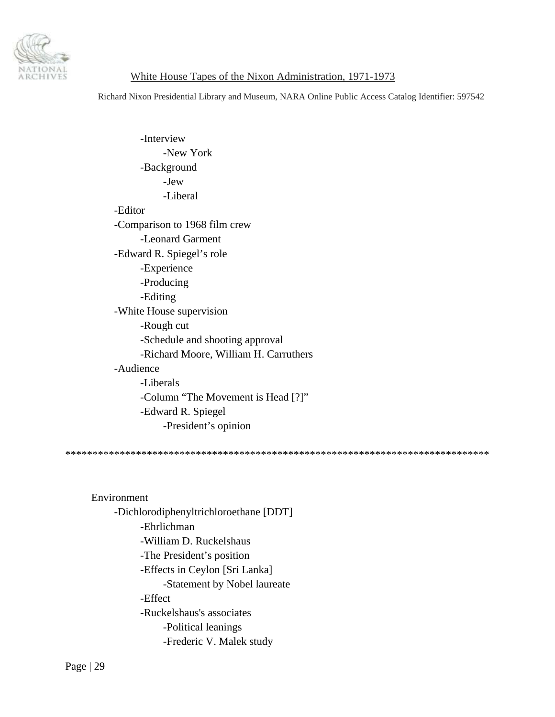

Richard Nixon Presidential Library and Museum, NARA Online Public Access Catalog Identifier: 597542

 -Interview -New York -Background -Jew -Liberal -Editor -Comparison to 1968 film crew -Leonard Garment -Edward R. Spiegel's role -Experience -Producing -Editing -White House supervision -Rough cut -Schedule and shooting approval -Richard Moore, William H. Carruthers -Audience -Liberals -Column "The Movement is Head [?]" -Edward R. Spiegel -President's opinion

\*\*\*\*\*\*\*\*\*\*\*\*\*\*\*\*\*\*\*\*\*\*\*\*\*\*\*\*\*\*\*\*\*\*\*\*\*\*\*\*\*\*\*\*\*\*\*\*\*\*\*\*\*\*\*\*\*\*\*\*\*\*\*\*\*\*\*\*\*\*\*\*\*\*\*\*\*\*

 Environment -Dichlorodiphenyltrichloroethane [DDT] -Ehrlichman -William D. Ruckelshaus -The President's position -Effects in Ceylon [Sri Lanka] -Statement by Nobel laureate -Effect -Ruckelshaus's associates -Political leanings -Frederic V. Malek study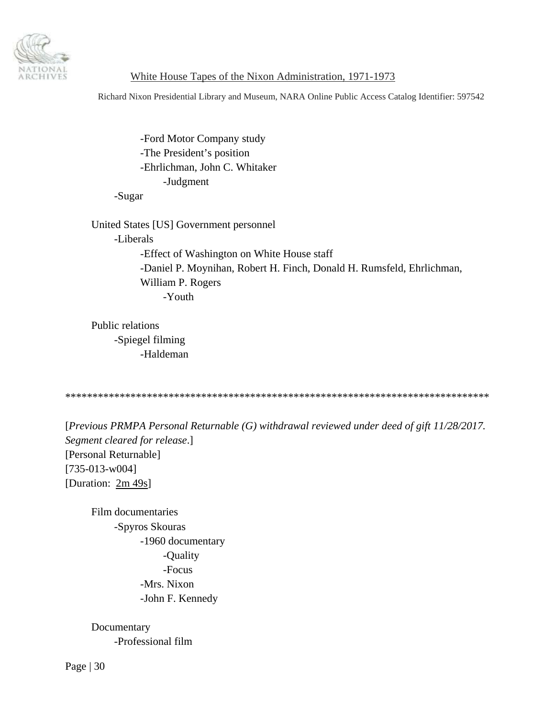

Richard Nixon Presidential Library and Museum, NARA Online Public Access Catalog Identifier: 597542

 -Ford Motor Company study -The President's position -Ehrlichman, John C. Whitaker -Judgment

-Sugar

 United States [US] Government personnel -Liberals -Effect of Washington on White House staff -Daniel P. Moynihan, Robert H. Finch, Donald H. Rumsfeld, Ehrlichman, William P. Rogers -Youth

 Public relations -Spiegel filming -Haldeman

\*\*\*\*\*\*\*\*\*\*\*\*\*\*\*\*\*\*\*\*\*\*\*\*\*\*\*\*\*\*\*\*\*\*\*\*\*\*\*\*\*\*\*\*\*\*\*\*\*\*\*\*\*\*\*\*\*\*\*\*\*\*\*\*\*\*\*\*\*\*\*\*\*\*\*\*\*\*

[*Previous PRMPA Personal Returnable (G) withdrawal reviewed under deed of gift 11/28/2017. Segment cleared for release*.] [Personal Returnable] [735-013-w004] [Duration: 2m 49s]

 Film documentaries -Spyros Skouras -1960 documentary -Quality -Focus -Mrs. Nixon -John F. Kennedy

 Documentary -Professional film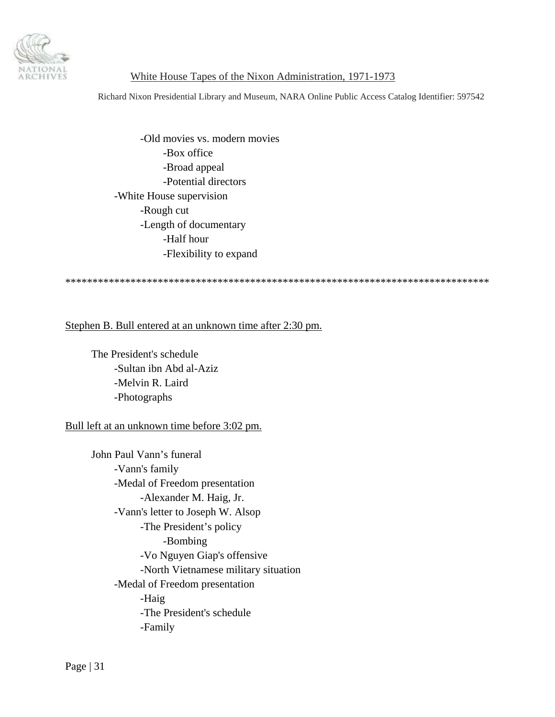

Richard Nixon Presidential Library and Museum, NARA Online Public Access Catalog Identifier: 597542

 -Old movies vs. modern movies -Box office -Broad appeal -Potential directors -White House supervision -Rough cut -Length of documentary -Half hour -Flexibility to expand

\*\*\*\*\*\*\*\*\*\*\*\*\*\*\*\*\*\*\*\*\*\*\*\*\*\*\*\*\*\*\*\*\*\*\*\*\*\*\*\*\*\*\*\*\*\*\*\*\*\*\*\*\*\*\*\*\*\*\*\*\*\*\*\*\*\*\*\*\*\*\*\*\*\*\*\*\*\*

Stephen B. Bull entered at an unknown time after 2:30 pm.

 The President's schedule -Sultan ibn Abd al-Aziz -Melvin R. Laird -Photographs

Bull left at an unknown time before 3:02 pm.

 John Paul Vann's funeral -Vann's family -Medal of Freedom presentation -Alexander M. Haig, Jr. -Vann's letter to Joseph W. Alsop -The President's policy -Bombing -Vo Nguyen Giap's offensive -North Vietnamese military situation -Medal of Freedom presentation -Haig -The President's schedule -Family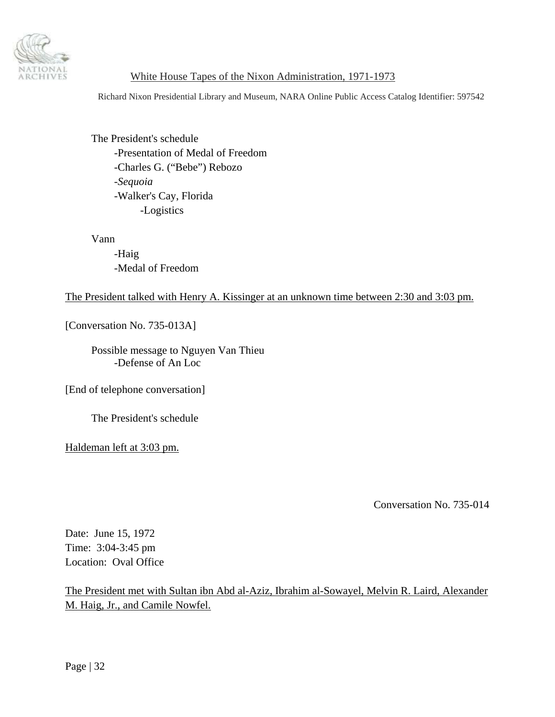<span id="page-31-0"></span>

Richard Nixon Presidential Library and Museum, NARA Online Public Access Catalog Identifier: 597542

 The President's schedule -Presentation of Medal of Freedom -Charles G. ("Bebe") Rebozo -*Sequoia* -Walker's Cay, Florida -Logistics

Vann

 -Haig -Medal of Freedom

#### The President talked with Henry A. Kissinger at an unknown time between 2:30 and 3:03 pm.

[Conversation No. 735-013A]

 Possible message to Nguyen Van Thieu -Defense of An Loc

[End of telephone conversation]

The President's schedule

Haldeman left at 3:03 pm.

Conversation No. 735-014

Date: June 15, 1972 Time: 3:04-3:45 pm Location: Oval Office

The President met with Sultan ibn Abd al-Aziz, Ibrahim al-Sowayel, Melvin R. Laird, Alexander M. Haig, Jr., and Camile Nowfel.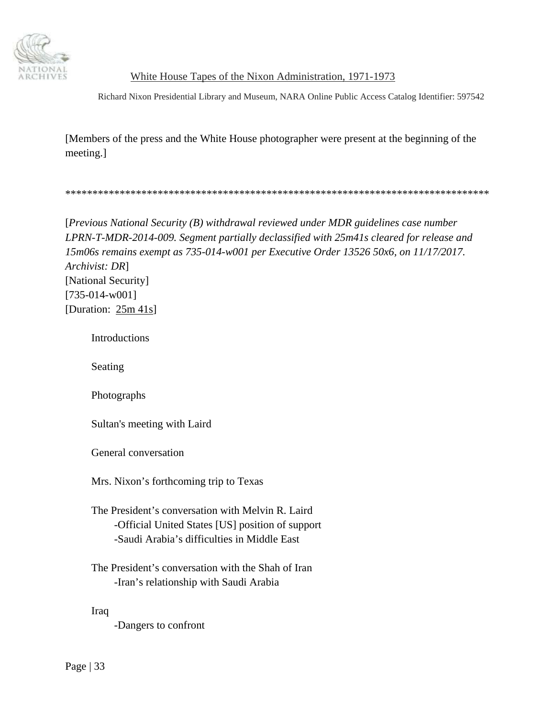

Richard Nixon Presidential Library and Museum, NARA Online Public Access Catalog Identifier: 597542

[Members of the press and the White House photographer were present at the beginning of the meeting.]

\*\*\*\*\*\*\*\*\*\*\*\*\*\*\*\*\*\*\*\*\*\*\*\*\*\*\*\*\*\*\*\*\*\*\*\*\*\*\*\*\*\*\*\*\*\*\*\*\*\*\*\*\*\*\*\*\*\*\*\*\*\*\*\*\*\*\*\*\*\*\*\*\*\*\*\*\*\*

[*Previous National Security (B) withdrawal reviewed under MDR guidelines case number LPRN-T-MDR-2014-009. Segment partially declassified with 25m41s cleared for release and 15m06s remains exempt as 735-014-w001 per Executive Order 13526 50x6, on 11/17/2017. Archivist: DR*] [National Security] [735-014-w001] [Duration: 25m 41s]

**Introductions** 

Seating

Photographs

Sultan's meeting with Laird

General conversation

Mrs. Nixon's forthcoming trip to Texas

 The President's conversation with Melvin R. Laird -Official United States [US] position of support -Saudi Arabia's difficulties in Middle East

 The President's conversation with the Shah of Iran -Iran's relationship with Saudi Arabia

Iraq

-Dangers to confront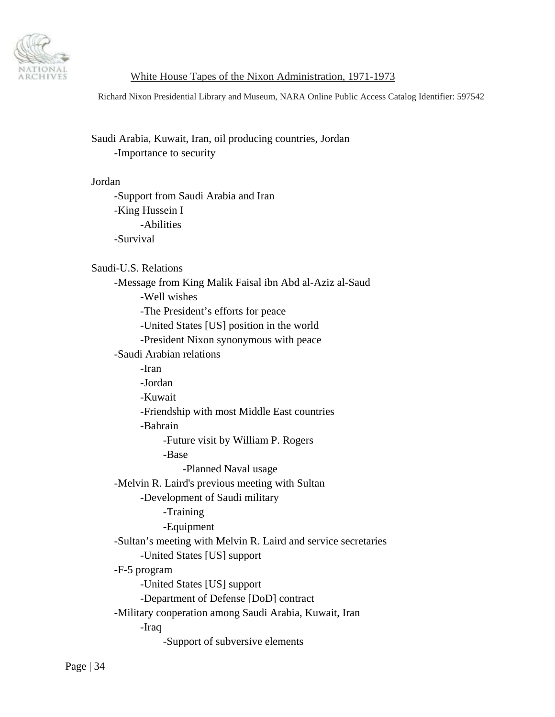

Richard Nixon Presidential Library and Museum, NARA Online Public Access Catalog Identifier: 597542

# Saudi Arabia, Kuwait, Iran, oil producing countries, Jordan -Importance to security

## Jordan

 -Support from Saudi Arabia and Iran -King Hussein I -Abilities -Survival

Saudi-U.S. Relations

 -Message from King Malik Faisal ibn Abd al-Aziz al-Saud -Well wishes -The President's efforts for peace -United States [US] position in the world -President Nixon synonymous with peace -Saudi Arabian relations -Iran -Jordan -Kuwait -Friendship with most Middle East countries -Bahrain -Future visit by William P. Rogers -Base -Planned Naval usage -Melvin R. Laird's previous meeting with Sultan -Development of Saudi military -Training -Equipment -Sultan's meeting with Melvin R. Laird and service secretaries -United States [US] support -F-5 program -United States [US] support -Department of Defense [DoD] contract -Military cooperation among Saudi Arabia, Kuwait, Iran -Iraq

-Support of subversive elements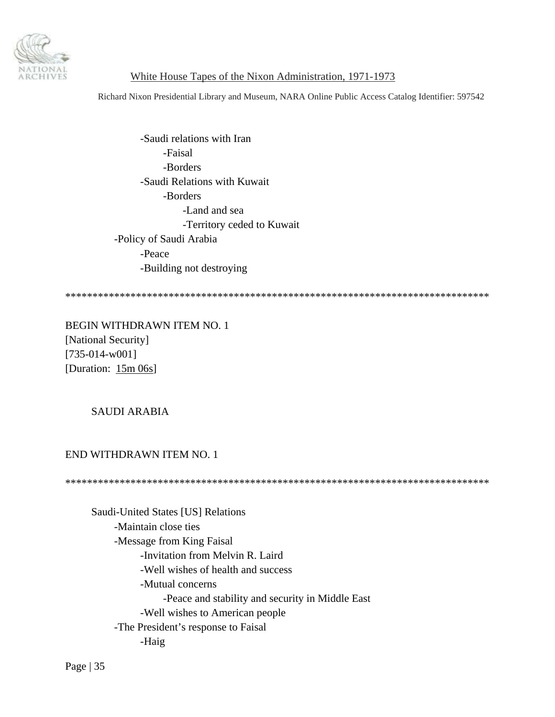

Richard Nixon Presidential Library and Museum, NARA Online Public Access Catalog Identifier: 597542

 -Saudi relations with Iran -Faisal -Borders -Saudi Relations with Kuwait -Borders -Land and sea -Territory ceded to Kuwait -Policy of Saudi Arabia -Peace -Building not destroying

\*\*\*\*\*\*\*\*\*\*\*\*\*\*\*\*\*\*\*\*\*\*\*\*\*\*\*\*\*\*\*\*\*\*\*\*\*\*\*\*\*\*\*\*\*\*\*\*\*\*\*\*\*\*\*\*\*\*\*\*\*\*\*\*\*\*\*\*\*\*\*\*\*\*\*\*\*\*

BEGIN WITHDRAWN ITEM NO. 1 [National Security] [735-014-w001] [Duration: 15m 06s]

#### SAUDI ARABIA

#### END WITHDRAWN ITEM NO. 1

\*\*\*\*\*\*\*\*\*\*\*\*\*\*\*\*\*\*\*\*\*\*\*\*\*\*\*\*\*\*\*\*\*\*\*\*\*\*\*\*\*\*\*\*\*\*\*\*\*\*\*\*\*\*\*\*\*\*\*\*\*\*\*\*\*\*\*\*\*\*\*\*\*\*\*\*\*\*

 Saudi-United States [US] Relations -Maintain close ties -Message from King Faisal -Invitation from Melvin R. Laird -Well wishes of health and success -Mutual concerns -Peace and stability and security in Middle East -Well wishes to American people -The President's response to Faisal -Haig

Page | 35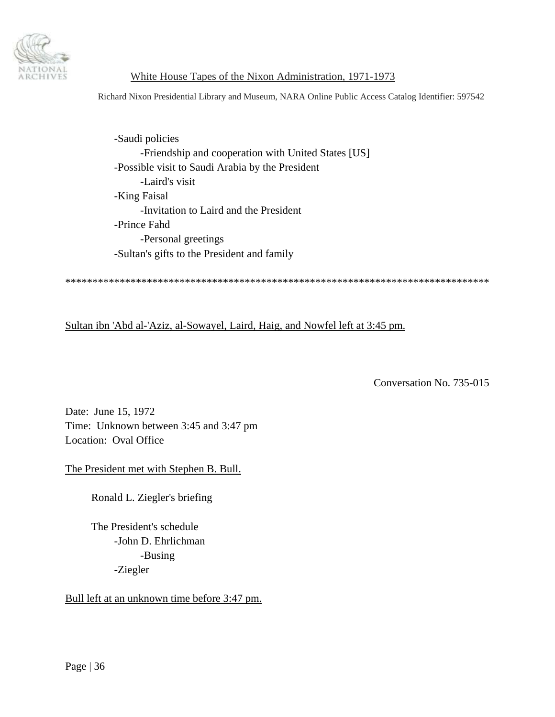<span id="page-35-0"></span>

Richard Nixon Presidential Library and Museum, NARA Online Public Access Catalog Identifier: 597542

 -Saudi policies -Friendship and cooperation with United States [US] -Possible visit to Saudi Arabia by the President -Laird's visit -King Faisal -Invitation to Laird and the President -Prince Fahd -Personal greetings -Sultan's gifts to the President and family

\*\*\*\*\*\*\*\*\*\*\*\*\*\*\*\*\*\*\*\*\*\*\*\*\*\*\*\*\*\*\*\*\*\*\*\*\*\*\*\*\*\*\*\*\*\*\*\*\*\*\*\*\*\*\*\*\*\*\*\*\*\*\*\*\*\*\*\*\*\*\*\*\*\*\*\*\*\*

Sultan ibn 'Abd al-'Aziz, al-Sowayel, Laird, Haig, and Nowfel left at 3:45 pm.

Conversation No. 735-015

Date: June 15, 1972 Time: Unknown between 3:45 and 3:47 pm Location: Oval Office

The President met with Stephen B. Bull.

Ronald L. Ziegler's briefing

 The President's schedule -John D. Ehrlichman -Busing -Ziegler

Bull left at an unknown time before 3:47 pm.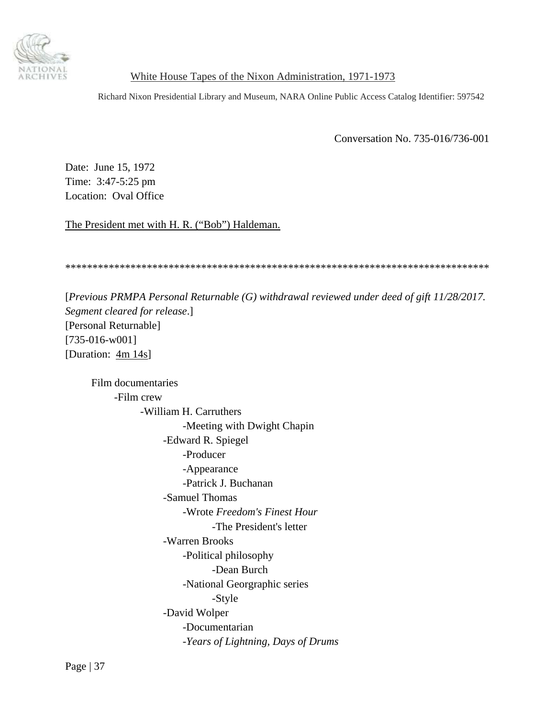<span id="page-36-0"></span>

Richard Nixon Presidential Library and Museum, NARA Online Public Access Catalog Identifier: 597542

Conversation No. 735-016/736-001

Date: June 15, 1972 Time: 3:47-5:25 pm Location: Oval Office

The President met with H. R. ("Bob") Haldeman.

\*\*\*\*\*\*\*\*\*\*\*\*\*\*\*\*\*\*\*\*\*\*\*\*\*\*\*\*\*\*\*\*\*\*\*\*\*\*\*\*\*\*\*\*\*\*\*\*\*\*\*\*\*\*\*\*\*\*\*\*\*\*\*\*\*\*\*\*\*\*\*\*\*\*\*\*\*\*

[*Previous PRMPA Personal Returnable (G) withdrawal reviewed under deed of gift 11/28/2017. Segment cleared for release*.] [Personal Returnable] [735-016-w001] [Duration:  $4m 14s$ ]

 Film documentaries -Film crew -William H. Carruthers -Meeting with Dwight Chapin -Edward R. Spiegel -Producer -Appearance -Patrick J. Buchanan -Samuel Thomas -Wrote *Freedom's Finest Hour* -The President's letter -Warren Brooks -Political philosophy -Dean Burch -National Georgraphic series -Style -David Wolper -Documentarian -*Years of Lightning, Days of Drums*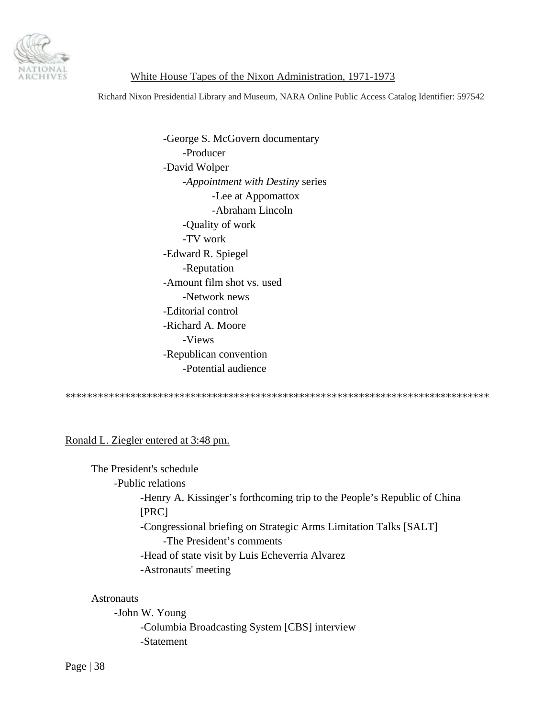

Richard Nixon Presidential Library and Museum, NARA Online Public Access Catalog Identifier: 597542

 -George S. McGovern documentary -Producer -David Wolper -*Appointment with Destiny* series -Lee at Appomattox -Abraham Lincoln -Quality of work -TV work -Edward R. Spiegel -Reputation -Amount film shot vs. used -Network news -Editorial control -Richard A. Moore -Views -Republican convention -Potential audience

\*\*\*\*\*\*\*\*\*\*\*\*\*\*\*\*\*\*\*\*\*\*\*\*\*\*\*\*\*\*\*\*\*\*\*\*\*\*\*\*\*\*\*\*\*\*\*\*\*\*\*\*\*\*\*\*\*\*\*\*\*\*\*\*\*\*\*\*\*\*\*\*\*\*\*\*\*\*

Ronald L. Ziegler entered at 3:48 pm.

 The President's schedule -Public relations -Henry A. Kissinger's forthcoming trip to the People's Republic of China [PRC] -Congressional briefing on Strategic Arms Limitation Talks [SALT] -The President's comments -Head of state visit by Luis Echeverria Alvarez -Astronauts' meeting

#### **Astronauts**

 -John W. Young -Columbia Broadcasting System [CBS] interview -Statement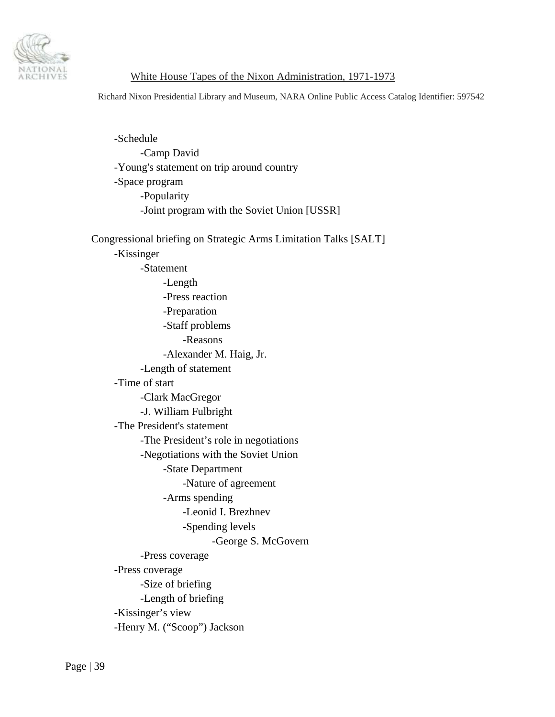

Richard Nixon Presidential Library and Museum, NARA Online Public Access Catalog Identifier: 597542

 -Schedule -Camp David -Young's statement on trip around country -Space program -Popularity -Joint program with the Soviet Union [USSR] Congressional briefing on Strategic Arms Limitation Talks [SALT] -Kissinger -Statement -Length -Press reaction -Preparation -Staff problems -Reasons -Alexander M. Haig, Jr. -Length of statement -Time of start -Clark MacGregor -J. William Fulbright -The President's statement -The President's role in negotiations -Negotiations with the Soviet Union -State Department -Nature of agreement -Arms spending -Leonid I. Brezhnev -Spending levels -George S. McGovern -Press coverage -Press coverage -Size of briefing -Length of briefing -Kissinger's view -Henry M. ("Scoop") Jackson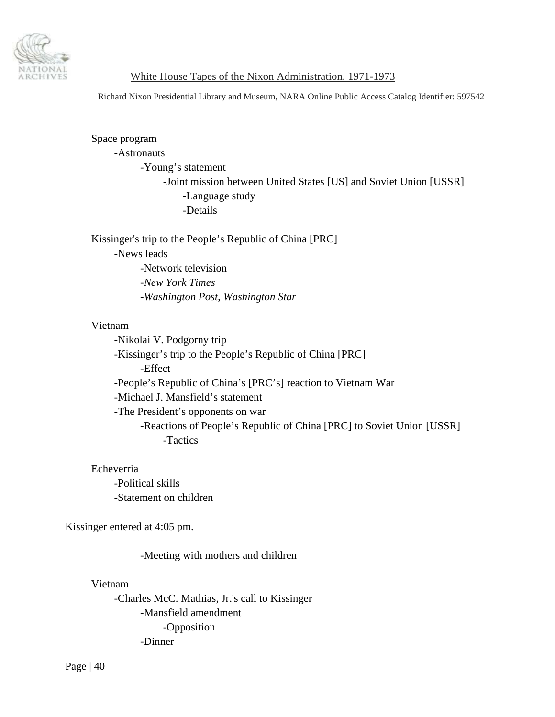

Richard Nixon Presidential Library and Museum, NARA Online Public Access Catalog Identifier: 597542

# Space program -Astronauts -Young's statement -Joint mission between United States [US] and Soviet Union [USSR] -Language study -Details

 Kissinger's trip to the People's Republic of China [PRC] -News leads -Network television -*New York Times* -*Washington Post*, *Washington Star*

#### Vietnam

 -Nikolai V. Podgorny trip -Kissinger's trip to the People's Republic of China [PRC] -Effect -People's Republic of China's [PRC's] reaction to Vietnam War -Michael J. Mansfield's statement -The President's opponents on war -Reactions of People's Republic of China [PRC] to Soviet Union [USSR] -Tactics

#### Echeverria

 -Political skills -Statement on children

### Kissinger entered at 4:05 pm.

-Meeting with mothers and children

# Vietnam

 -Charles McC. Mathias, Jr.'s call to Kissinger -Mansfield amendment -Opposition -Dinner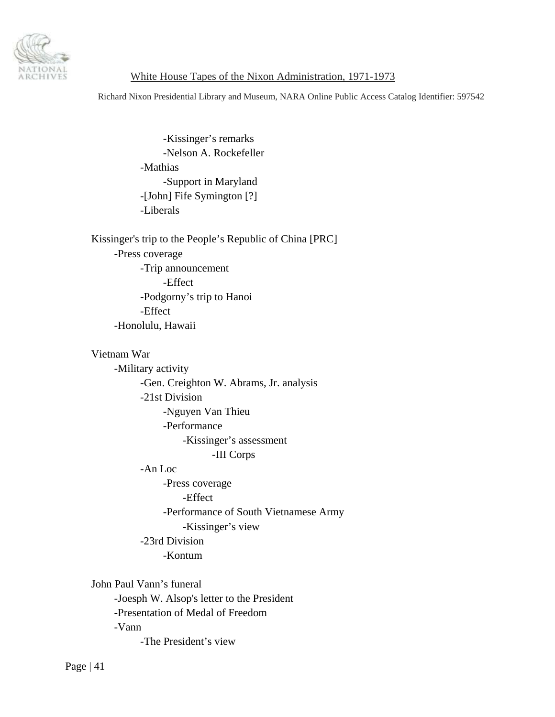

Richard Nixon Presidential Library and Museum, NARA Online Public Access Catalog Identifier: 597542

 -Kissinger's remarks -Nelson A. Rockefeller -Mathias -Support in Maryland -[John] Fife Symington [?] -Liberals

 Kissinger's trip to the People's Republic of China [PRC] -Press coverage -Trip announcement -Effect -Podgorny's trip to Hanoi -Effect -Honolulu, Hawaii

 Vietnam War -Military activity -Gen. Creighton W. Abrams, Jr. analysis -21st Division -Nguyen Van Thieu -Performance -Kissinger's assessment -III Corps -An Loc -Press coverage -Effect -Performance of South Vietnamese Army -Kissinger's view -23rd Division -Kontum John Paul Vann's funeral -Joesph W. Alsop's letter to the President -Presentation of Medal of Freedom

-Vann

-The President's view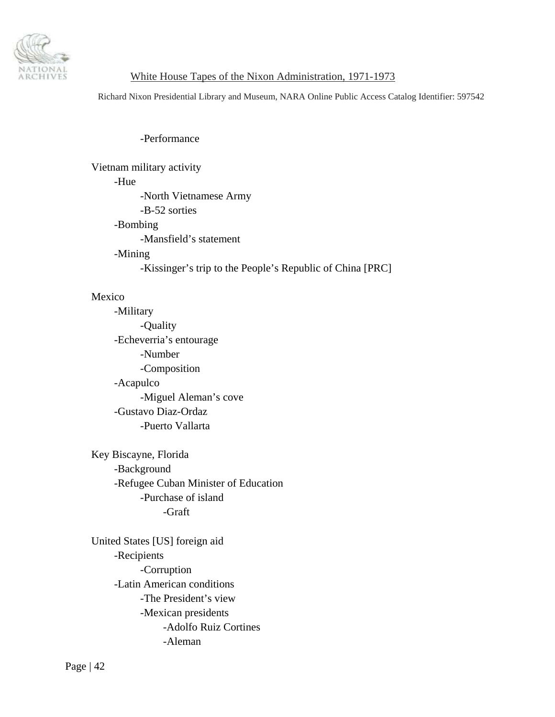

Richard Nixon Presidential Library and Museum, NARA Online Public Access Catalog Identifier: 597542

-Performance

 Vietnam military activity -Hue -North Vietnamese Army -B-52 sorties -Bombing -Mansfield's statement -Mining -Kissinger's trip to the People's Republic of China [PRC]

# Mexico

 -Military -Quality -Echeverria's entourage -Number -Composition -Acapulco -Miguel Aleman's cove -Gustavo Diaz-Ordaz -Puerto Vallarta

 Key Biscayne, Florida -Background -Refugee Cuban Minister of Education -Purchase of island -Graft

 United States [US] foreign aid -Recipients -Corruption -Latin American conditions -The President's view -Mexican presidents -Adolfo Ruiz Cortines -Aleman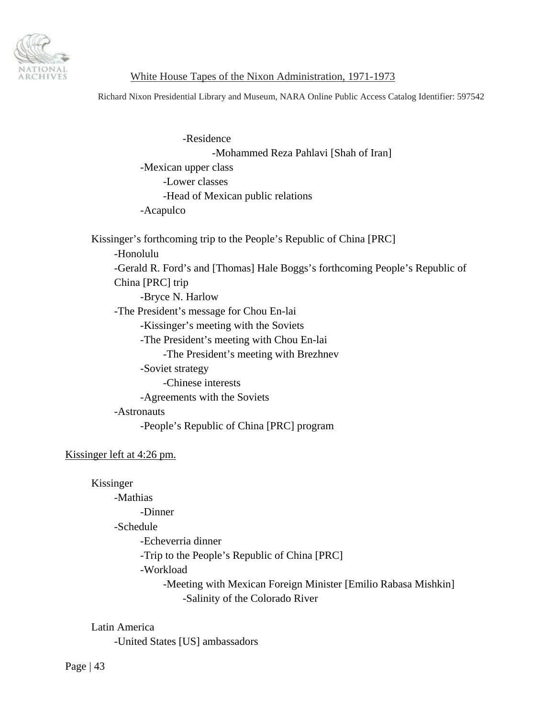

Richard Nixon Presidential Library and Museum, NARA Online Public Access Catalog Identifier: 597542

 -Residence -Mohammed Reza Pahlavi [Shah of Iran] -Mexican upper class -Lower classes -Head of Mexican public relations -Acapulco

 Kissinger's forthcoming trip to the People's Republic of China [PRC] -Honolulu -Gerald R. Ford's and [Thomas] Hale Boggs's forthcoming People's Republic of China [PRC] trip -Bryce N. Harlow -The President's message for Chou En-lai -Kissinger's meeting with the Soviets -The President's meeting with Chou En-lai -The President's meeting with Brezhnev -Soviet strategy -Chinese interests -Agreements with the Soviets -Astronauts -People's Republic of China [PRC] program

### Kissinger left at 4:26 pm.

Kissinger

 -Mathias -Dinner

-Schedule

-Echeverria dinner

-Trip to the People's Republic of China [PRC]

-Workload

 -Meeting with Mexican Foreign Minister [Emilio Rabasa Mishkin] -Salinity of the Colorado River

Latin America

-United States [US] ambassadors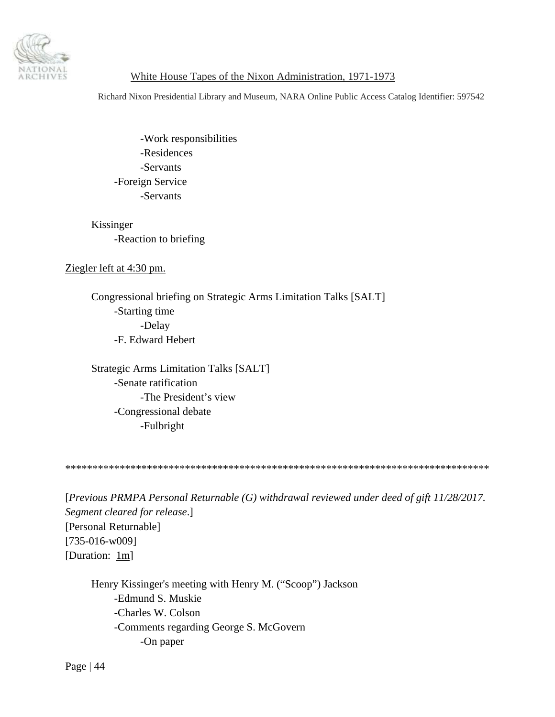

Richard Nixon Presidential Library and Museum, NARA Online Public Access Catalog Identifier: 597542

 -Work responsibilities -Residences -Servants -Foreign Service -Servants

# Kissinger -Reaction to briefing

# Ziegler left at 4:30 pm.

 Congressional briefing on Strategic Arms Limitation Talks [SALT] -Starting time -Delay -F. Edward Hebert

 Strategic Arms Limitation Talks [SALT] -Senate ratification -The President's view -Congressional debate -Fulbright

\*\*\*\*\*\*\*\*\*\*\*\*\*\*\*\*\*\*\*\*\*\*\*\*\*\*\*\*\*\*\*\*\*\*\*\*\*\*\*\*\*\*\*\*\*\*\*\*\*\*\*\*\*\*\*\*\*\*\*\*\*\*\*\*\*\*\*\*\*\*\*\*\*\*\*\*\*\*

[*Previous PRMPA Personal Returnable (G) withdrawal reviewed under deed of gift 11/28/2017. Segment cleared for release*.] [Personal Returnable] [735-016-w009] [Duration: 1m]

 Henry Kissinger's meeting with Henry M. ("Scoop") Jackson -Edmund S. Muskie -Charles W. Colson -Comments regarding George S. McGovern -On paper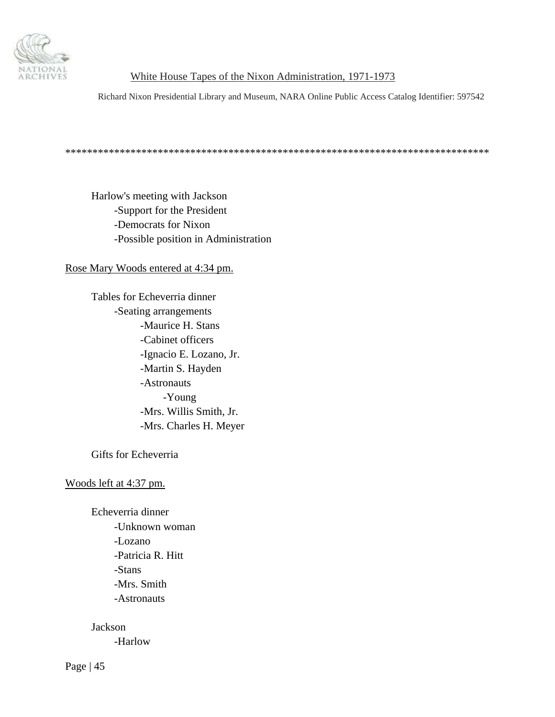

Richard Nixon Presidential Library and Museum, NARA Online Public Access Catalog Identifier: 597542

\*\*\*\*\*\*\*\*\*\*\*\*\*\*\*\*\*\*\*\*\*\*\*\*\*\*\*\*\*\*\*\*\*\*\*\*\*\*\*\*\*\*\*\*\*\*\*\*\*\*\*\*\*\*\*\*\*\*\*\*\*\*\*\*\*\*\*\*\*\*\*\*\*\*\*\*\*\*

 Harlow's meeting with Jackson -Support for the President -Democrats for Nixon -Possible position in Administration

Rose Mary Woods entered at 4:34 pm.

 Tables for Echeverria dinner -Seating arrangements -Maurice H. Stans -Cabinet officers -Ignacio E. Lozano, Jr. -Martin S. Hayden -Astronauts -Young -Mrs. Willis Smith, Jr. -Mrs. Charles H. Meyer

Gifts for Echeverria

Woods left at 4:37 pm.

 Echeverria dinner -Unknown woman -Lozano -Patricia R. Hitt -Stans -Mrs. Smith -Astronauts

Jackson

-Harlow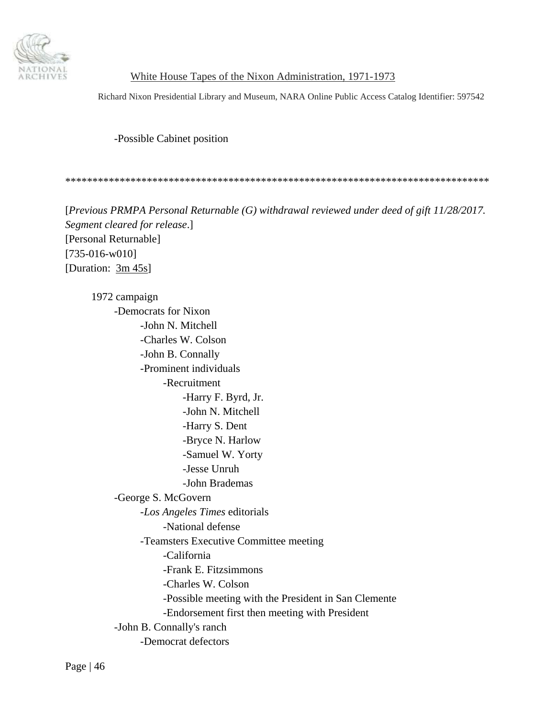

Richard Nixon Presidential Library and Museum, NARA Online Public Access Catalog Identifier: 597542

-Possible Cabinet position

\*\*\*\*\*\*\*\*\*\*\*\*\*\*\*\*\*\*\*\*\*\*\*\*\*\*\*\*\*\*\*\*\*\*\*\*\*\*\*\*\*\*\*\*\*\*\*\*\*\*\*\*\*\*\*\*\*\*\*\*\*\*\*\*\*\*\*\*\*\*\*\*\*\*\*\*\*\*

[*Previous PRMPA Personal Returnable (G) withdrawal reviewed under deed of gift 11/28/2017. Segment cleared for release*.] [Personal Returnable] [735-016-w010] [Duration:  $3m/45s$ ]

 1972 campaign -Democrats for Nixon -John N. Mitchell -Charles W. Colson -John B. Connally -Prominent individuals -Recruitment -Harry F. Byrd, Jr. -John N. Mitchell -Harry S. Dent -Bryce N. Harlow -Samuel W. Yorty -Jesse Unruh -John Brademas -George S. McGovern -*Los Angeles Times* editorials -National defense -Teamsters Executive Committee meeting -California -Frank E. Fitzsimmons -Charles W. Colson -Possible meeting with the President in San Clemente -Endorsement first then meeting with President -John B. Connally's ranch -Democrat defectors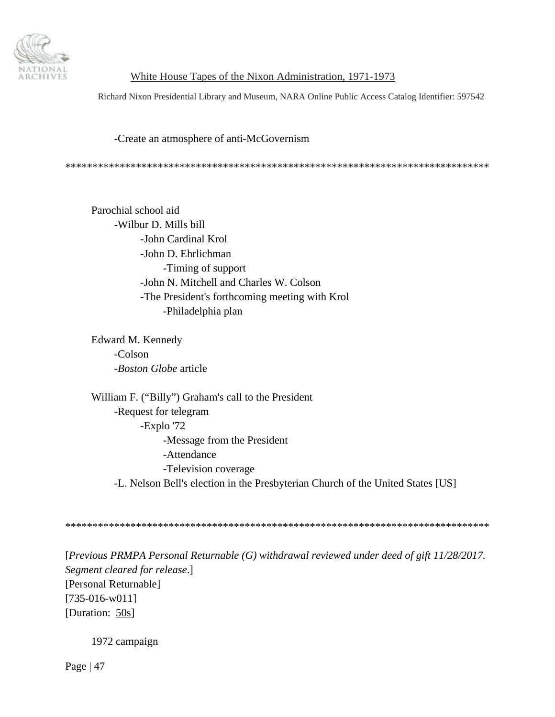

Richard Nixon Presidential Library and Museum, NARA Online Public Access Catalog Identifier: 597542

#### -Create an atmosphere of anti-McGovernism

\*\*\*\*\*\*\*\*\*\*\*\*\*\*\*\*\*\*\*\*\*\*\*\*\*\*\*\*\*\*\*\*\*\*\*\*\*\*\*\*\*\*\*\*\*\*\*\*\*\*\*\*\*\*\*\*\*\*\*\*\*\*\*\*\*\*\*\*\*\*\*\*\*\*\*\*\*\*

 Parochial school aid -Wilbur D. Mills bill -John Cardinal Krol -John D. Ehrlichman -Timing of support -John N. Mitchell and Charles W. Colson -The President's forthcoming meeting with Krol -Philadelphia plan

 Edward M. Kennedy -Colson -*Boston Globe* article

 William F. ("Billy") Graham's call to the President -Request for telegram -Explo '72 -Message from the President -Attendance -Television coverage -L. Nelson Bell's election in the Presbyterian Church of the United States [US]

\*\*\*\*\*\*\*\*\*\*\*\*\*\*\*\*\*\*\*\*\*\*\*\*\*\*\*\*\*\*\*\*\*\*\*\*\*\*\*\*\*\*\*\*\*\*\*\*\*\*\*\*\*\*\*\*\*\*\*\*\*\*\*\*\*\*\*\*\*\*\*\*\*\*\*\*\*\*

[*Previous PRMPA Personal Returnable (G) withdrawal reviewed under deed of gift 11/28/2017. Segment cleared for release*.] [Personal Returnable] [735-016-w011] [Duration: 50s]

1972 campaign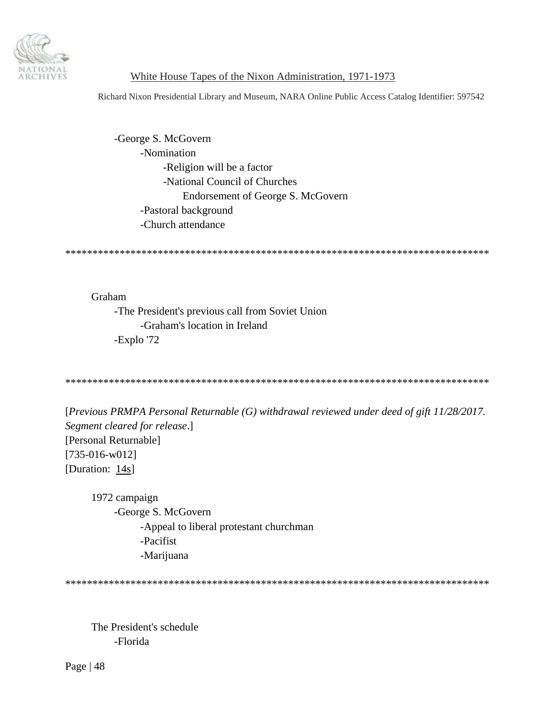

Richard Nixon Presidential Library and Museum, NARA Online Public Access Catalog Identifier: 597542

 -George S. McGovern -Nomination -Religion will be a factor -National Council of Churches Endorsement of George S. McGovern -Pastoral background -Church attendance

\*\*\*\*\*\*\*\*\*\*\*\*\*\*\*\*\*\*\*\*\*\*\*\*\*\*\*\*\*\*\*\*\*\*\*\*\*\*\*\*\*\*\*\*\*\*\*\*\*\*\*\*\*\*\*\*\*\*\*\*\*\*\*\*\*\*\*\*\*\*\*\*\*\*\*\*\*\*

 Graham -The President's previous call from Soviet Union -Graham's location in Ireland -Explo '72

\*\*\*\*\*\*\*\*\*\*\*\*\*\*\*\*\*\*\*\*\*\*\*\*\*\*\*\*\*\*\*\*\*\*\*\*\*\*\*\*\*\*\*\*\*\*\*\*\*\*\*\*\*\*\*\*\*\*\*\*\*\*\*\*\*\*\*\*\*\*\*\*\*\*\*\*\*\*

[*Previous PRMPA Personal Returnable (G) withdrawal reviewed under deed of gift 11/28/2017. Segment cleared for release*.] [Personal Returnable] [735-016-w012] [Duration: 14s]

 1972 campaign -George S. McGovern -Appeal to liberal protestant churchman -Pacifist -Marijuana

\*\*\*\*\*\*\*\*\*\*\*\*\*\*\*\*\*\*\*\*\*\*\*\*\*\*\*\*\*\*\*\*\*\*\*\*\*\*\*\*\*\*\*\*\*\*\*\*\*\*\*\*\*\*\*\*\*\*\*\*\*\*\*\*\*\*\*\*\*\*\*\*\*\*\*\*\*\*

 The President's schedule -Florida

Page | 48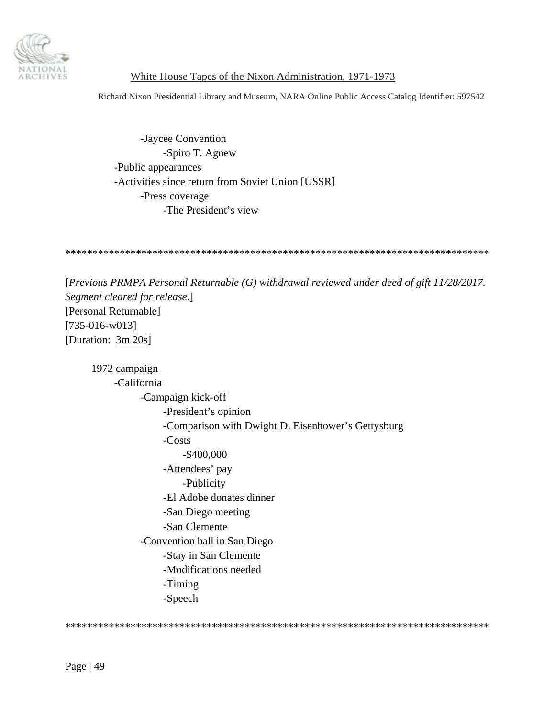

Richard Nixon Presidential Library and Museum, NARA Online Public Access Catalog Identifier: 597542

 -Jaycee Convention -Spiro T. Agnew -Public appearances -Activities since return from Soviet Union [USSR] -Press coverage -The President's view

\*\*\*\*\*\*\*\*\*\*\*\*\*\*\*\*\*\*\*\*\*\*\*\*\*\*\*\*\*\*\*\*\*\*\*\*\*\*\*\*\*\*\*\*\*\*\*\*\*\*\*\*\*\*\*\*\*\*\*\*\*\*\*\*\*\*\*\*\*\*\*\*\*\*\*\*\*\*

[*Previous PRMPA Personal Returnable (G) withdrawal reviewed under deed of gift 11/28/2017. Segment cleared for release*.] [Personal Returnable] [735-016-w013] [Duration: 3m 20s]

 1972 campaign -California -Campaign kick-off -President's opinion -Comparison with Dwight D. Eisenhower's Gettysburg -Costs -\$400,000 -Attendees' pay -Publicity -El Adobe donates dinner -San Diego meeting -San Clemente -Convention hall in San Diego -Stay in San Clemente -Modifications needed -Timing -Speech

\*\*\*\*\*\*\*\*\*\*\*\*\*\*\*\*\*\*\*\*\*\*\*\*\*\*\*\*\*\*\*\*\*\*\*\*\*\*\*\*\*\*\*\*\*\*\*\*\*\*\*\*\*\*\*\*\*\*\*\*\*\*\*\*\*\*\*\*\*\*\*\*\*\*\*\*\*\*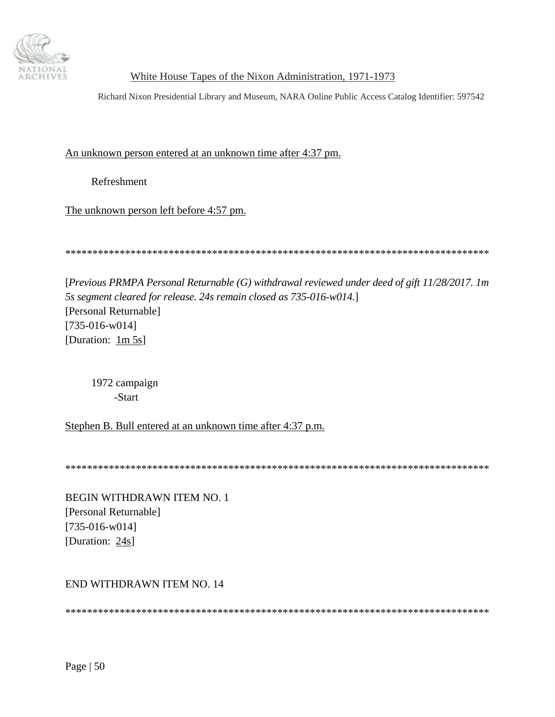

Richard Nixon Presidential Library and Museum, NARA Online Public Access Catalog Identifier: 597542

An unknown person entered at an unknown time after 4:37 pm.

Refreshment

The unknown person left before 4:57 pm.

\*\*\*\*\*\*\*\*\*\*\*\*\*\*\*\*\*\*\*\*\*\*\*\*\*\*\*\*\*\*\*\*\*\*\*\*\*\*\*\*\*\*\*\*\*\*\*\*\*\*\*\*\*\*\*\*\*\*\*\*\*\*\*\*\*\*\*\*\*\*\*\*\*\*\*\*\*\*

[*Previous PRMPA Personal Returnable (G) withdrawal reviewed under deed of gift 11/28/2017. 1m 5s segment cleared for release. 24s remain closed as 735-016-w014.*] [Personal Returnable] [735-016-w014] [Duration: 1m 5s]

 1972 campaign -Start

Stephen B. Bull entered at an unknown time after 4:37 p.m.

\*\*\*\*\*\*\*\*\*\*\*\*\*\*\*\*\*\*\*\*\*\*\*\*\*\*\*\*\*\*\*\*\*\*\*\*\*\*\*\*\*\*\*\*\*\*\*\*\*\*\*\*\*\*\*\*\*\*\*\*\*\*\*\*\*\*\*\*\*\*\*\*\*\*\*\*\*\*

BEGIN WITHDRAWN ITEM NO. 1 [Personal Returnable] [735-016-w014] [Duration: 24s]

END WITHDRAWN ITEM NO. 14

\*\*\*\*\*\*\*\*\*\*\*\*\*\*\*\*\*\*\*\*\*\*\*\*\*\*\*\*\*\*\*\*\*\*\*\*\*\*\*\*\*\*\*\*\*\*\*\*\*\*\*\*\*\*\*\*\*\*\*\*\*\*\*\*\*\*\*\*\*\*\*\*\*\*\*\*\*\*